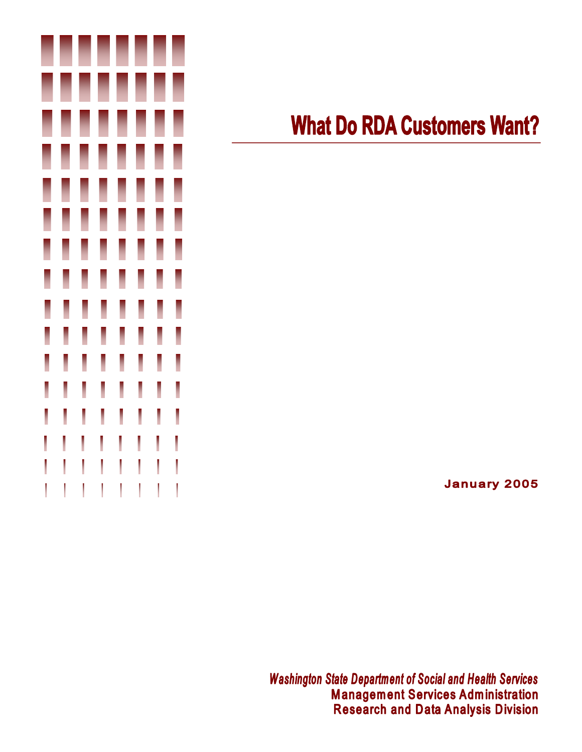

# **What Do RDA Customers Want?**

**January 2005** 

**Washington State Department of Social and Health Services Management Services Administration Research and Data Analysis Division**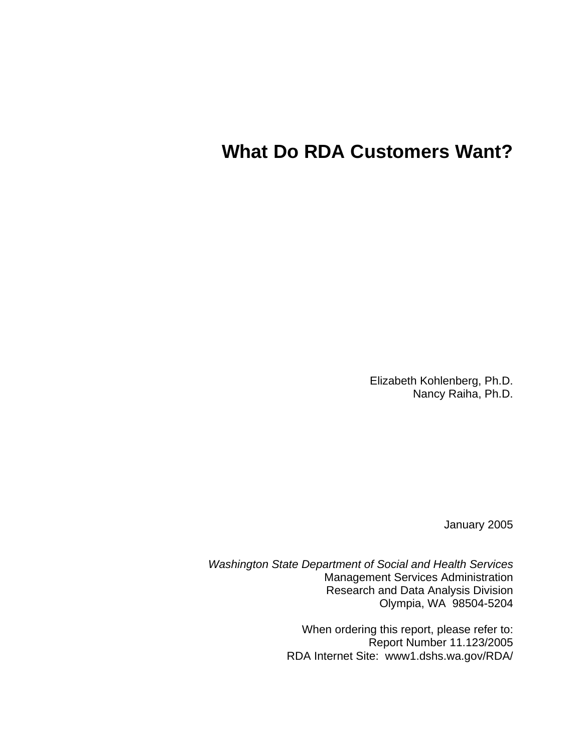## **What Do RDA Customers Want?**

Elizabeth Kohlenberg, Ph.D. Nancy Raiha, Ph.D.

January 2005

*Washington State Department of Social and Health Services*  Management Services Administration Research and Data Analysis Division Olympia, WA 98504-5204

> When ordering this report, please refer to: Report Number 11.123/2005 RDA Internet Site: www1.dshs.wa.gov/RDA/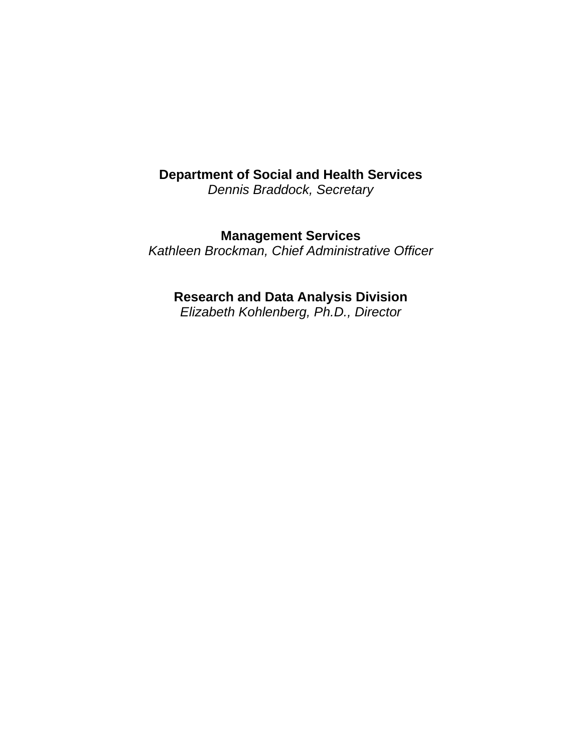### **Department of Social and Health Services**

*Dennis Braddock, Secretary* 

**Management Services** 

*Kathleen Brockman, Chief Administrative Officer* 

### **Research and Data Analysis Division**

*Elizabeth Kohlenberg, Ph.D., Director*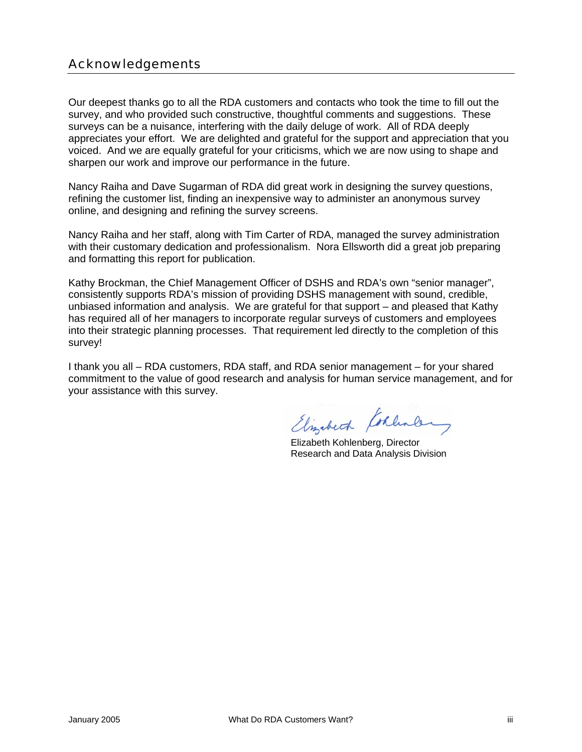### Acknowledgements

Our deepest thanks go to all the RDA customers and contacts who took the time to fill out the survey, and who provided such constructive, thoughtful comments and suggestions. These surveys can be a nuisance, interfering with the daily deluge of work. All of RDA deeply appreciates your effort. We are delighted and grateful for the support and appreciation that you voiced. And we are equally grateful for your criticisms, which we are now using to shape and sharpen our work and improve our performance in the future.

Nancy Raiha and Dave Sugarman of RDA did great work in designing the survey questions, refining the customer list, finding an inexpensive way to administer an anonymous survey online, and designing and refining the survey screens.

Nancy Raiha and her staff, along with Tim Carter of RDA, managed the survey administration with their customary dedication and professionalism. Nora Ellsworth did a great job preparing and formatting this report for publication.

Kathy Brockman, the Chief Management Officer of DSHS and RDA's own "senior manager", consistently supports RDA's mission of providing DSHS management with sound, credible, unbiased information and analysis. We are grateful for that support – and pleased that Kathy has required all of her managers to incorporate regular surveys of customers and employees into their strategic planning processes. That requirement led directly to the completion of this survey!

I thank you all – RDA customers, RDA staff, and RDA senior management – for your shared commitment to the value of good research and analysis for human service management, and for your assistance with this survey.

Elizabeth Koklen

 Elizabeth Kohlenberg, Director Research and Data Analysis Division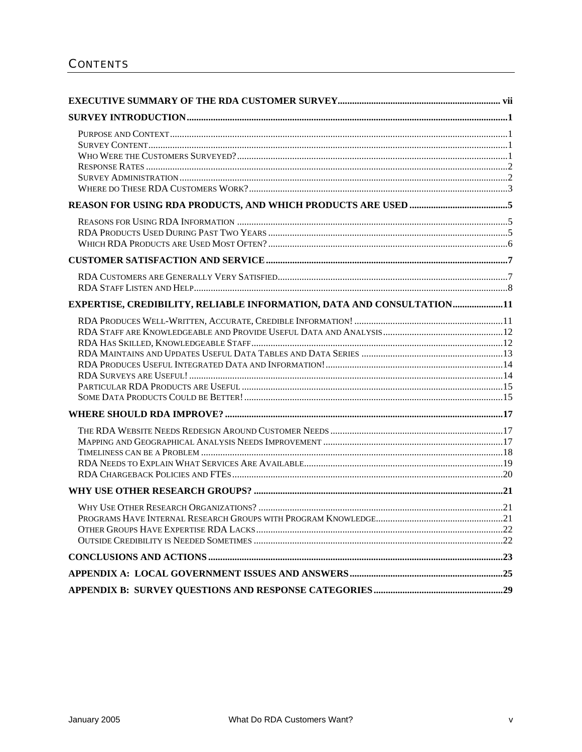| EXPERTISE, CREDIBILITY, RELIABLE INFORMATION, DATA AND CONSULTATION11 |  |
|-----------------------------------------------------------------------|--|
|                                                                       |  |
|                                                                       |  |
|                                                                       |  |
|                                                                       |  |
|                                                                       |  |
|                                                                       |  |
|                                                                       |  |
|                                                                       |  |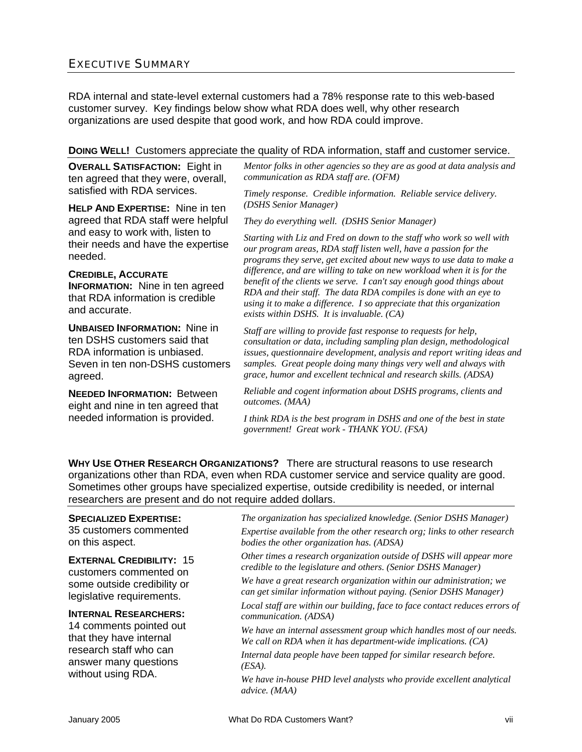### EXECUTIVE SUMMARY

RDA internal and state-level external customers had a 78% response rate to this web-based customer survey. Key findings below show what RDA does well, why other research organizations are used despite that good work, and how RDA could improve.

#### **DOING WELL!** Customers appreciate the quality of RDA information, staff and customer service.

**OVERALL SATISFACTION:** Eight in ten agreed that they were, overall, satisfied with RDA services.

**HELP AND EXPERTISE:** Nine in ten agreed that RDA staff were helpful and easy to work with, listen to their needs and have the expertise needed.

**CREDIBLE, ACCURATE INFORMATION:** Nine in ten agreed that RDA information is credible and accurate.

**UNBAISED INFORMATION:** Nine in ten DSHS customers said that RDA information is unbiased. Seven in ten non-DSHS customers agreed.

**NEEDED INFORMATION:** Between eight and nine in ten agreed that needed information is provided.

*Mentor folks in other agencies so they are as good at data analysis and communication as RDA staff are. (OFM)*

*Timely response. Credible information. Reliable service delivery. (DSHS Senior Manager)* 

*They do everything well. (DSHS Senior Manager)* 

*Starting with Liz and Fred on down to the staff who work so well with our program areas, RDA staff listen well, have a passion for the programs they serve, get excited about new ways to use data to make a difference, and are willing to take on new workload when it is for the benefit of the clients we serve. I can't say enough good things about RDA and their staff. The data RDA compiles is done with an eye to using it to make a difference. I so appreciate that this organization exists within DSHS. It is invaluable. (CA)* 

*Staff are willing to provide fast response to requests for help, consultation or data, including sampling plan design, methodological issues, questionnaire development, analysis and report writing ideas and samples. Great people doing many things very well and always with grace, humor and excellent technical and research skills. (ADSA)* 

*Reliable and cogent information about DSHS programs, clients and outcomes. (MAA)* 

*I think RDA is the best program in DSHS and one of the best in state government! Great work - THANK YOU. (FSA)* 

**WHY USE OTHER RESEARCH ORGANIZATIONS?** There are structural reasons to use research organizations other than RDA, even when RDA customer service and service quality are good. Sometimes other groups have specialized expertise, outside credibility is needed, or internal researchers are present and do not require added dollars.

#### **SPECIALIZED EXPERTISE:**

35 customers commented on this aspect.

**EXTERNAL CREDIBILITY:** 15 customers commented on some outside credibility or legislative requirements.

#### **INTERNAL RESEARCHERS:**

14 comments pointed out that they have internal research staff who can answer many questions without using RDA.

*The organization has specialized knowledge. (Senior DSHS Manager) Expertise available from the other research org; links to other research bodies the other organization has. (ADSA)* 

*Other times a research organization outside of DSHS will appear more credible to the legislature and others. (Senior DSHS Manager)* 

*We have a great research organization within our administration; we can get similar information without paying. (Senior DSHS Manager)* 

*Local staff are within our building, face to face contact reduces errors of communication. (ADSA)* 

*We have an internal assessment group which handles most of our needs. We call on RDA when it has department-wide implications. (CA)* 

*Internal data people have been tapped for similar research before. (ESA).* 

*We have in-house PHD level analysts who provide excellent analytical advice. (MAA)*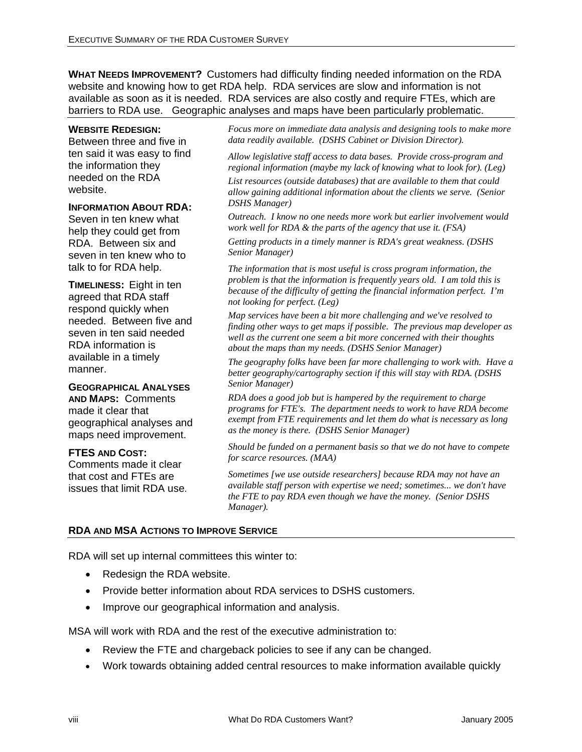**WHAT NEEDS IMPROVEMENT?** Customers had difficulty finding needed information on the RDA website and knowing how to get RDA help. RDA services are slow and information is not available as soon as it is needed. RDA services are also costly and require FTEs, which are barriers to RDA use. Geographic analyses and maps have been particularly problematic.

#### **WEBSITE REDESIGN:**

Between three and five in ten said it was easy to find the information they needed on the RDA website.

#### **INFORMATION ABOUT RDA:**

Seven in ten knew what help they could get from RDA. Between six and seven in ten knew who to talk to for RDA help.

**TIMELINESS:** Eight in ten agreed that RDA staff respond quickly when needed. Between five and seven in ten said needed RDA information is available in a timely manner.

### **GEOGRAPHICAL ANALYSES**

**AND MAPS:** Comments made it clear that geographical analyses and maps need improvement.

#### **FTES AND COST:**

Comments made it clear that cost and FTEs are issues that limit RDA use. *Focus more on immediate data analysis and designing tools to make more data readily available. (DSHS Cabinet or Division Director).* 

*Allow legislative staff access to data bases. Provide cross-program and regional information (maybe my lack of knowing what to look for). (Leg)* 

*List resources (outside databases) that are available to them that could allow gaining additional information about the clients we serve. (Senior DSHS Manager)* 

*Outreach. I know no one needs more work but earlier involvement would work well for RDA & the parts of the agency that use it. (FSA)*

*Getting products in a timely manner is RDA's great weakness. (DSHS Senior Manager)*

*The information that is most useful is cross program information, the problem is that the information is frequently years old. I am told this is because of the difficulty of getting the financial information perfect. I'm not looking for perfect. (Leg)* 

*Map services have been a bit more challenging and we've resolved to finding other ways to get maps if possible. The previous map developer as well as the current one seem a bit more concerned with their thoughts about the maps than my needs. (DSHS Senior Manager)* 

*The geography folks have been far more challenging to work with. Have a better geography/cartography section if this will stay with RDA. (DSHS Senior Manager)* 

*RDA does a good job but is hampered by the requirement to charge programs for FTE's. The department needs to work to have RDA become exempt from FTE requirements and let them do what is necessary as long as the money is there. (DSHS Senior Manager)* 

*Should be funded on a permanent basis so that we do not have to compete for scarce resources. (MAA)* 

*Sometimes [we use outside researchers] because RDA may not have an available staff person with expertise we need; sometimes... we don't have the FTE to pay RDA even though we have the money. (Senior DSHS Manager).* 

#### **RDA AND MSA ACTIONS TO IMPROVE SERVICE**

RDA will set up internal committees this winter to:

- Redesign the RDA website.
- Provide better information about RDA services to DSHS customers.
- Improve our geographical information and analysis.

MSA will work with RDA and the rest of the executive administration to:

- Review the FTE and chargeback policies to see if any can be changed.
- Work towards obtaining added central resources to make information available quickly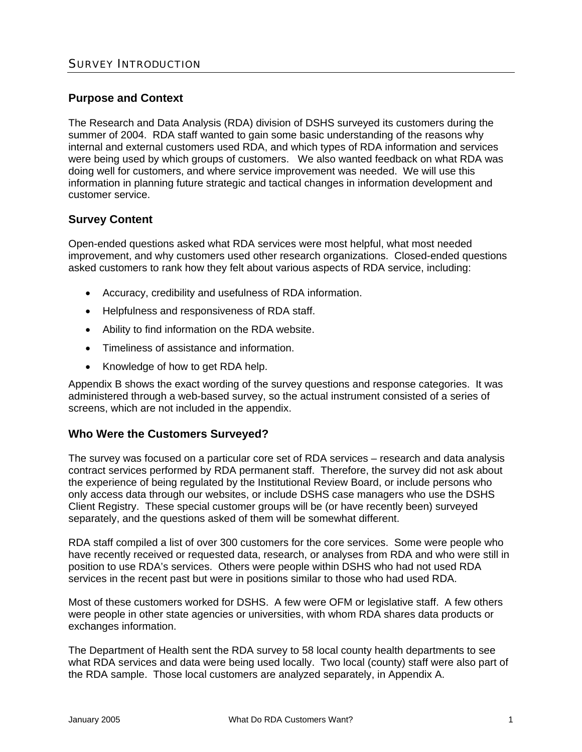#### **Purpose and Context**

The Research and Data Analysis (RDA) division of DSHS surveyed its customers during the summer of 2004. RDA staff wanted to gain some basic understanding of the reasons why internal and external customers used RDA, and which types of RDA information and services were being used by which groups of customers. We also wanted feedback on what RDA was doing well for customers, and where service improvement was needed. We will use this information in planning future strategic and tactical changes in information development and customer service.

#### **Survey Content**

Open-ended questions asked what RDA services were most helpful, what most needed improvement, and why customers used other research organizations. Closed-ended questions asked customers to rank how they felt about various aspects of RDA service, including:

- Accuracy, credibility and usefulness of RDA information.
- Helpfulness and responsiveness of RDA staff.
- Ability to find information on the RDA website.
- Timeliness of assistance and information.
- Knowledge of how to get RDA help.

Appendix B shows the exact wording of the survey questions and response categories. It was administered through a web-based survey, so the actual instrument consisted of a series of screens, which are not included in the appendix.

#### **Who Were the Customers Surveyed?**

The survey was focused on a particular core set of RDA services – research and data analysis contract services performed by RDA permanent staff. Therefore, the survey did not ask about the experience of being regulated by the Institutional Review Board, or include persons who only access data through our websites, or include DSHS case managers who use the DSHS Client Registry. These special customer groups will be (or have recently been) surveyed separately, and the questions asked of them will be somewhat different.

RDA staff compiled a list of over 300 customers for the core services. Some were people who have recently received or requested data, research, or analyses from RDA and who were still in position to use RDA's services. Others were people within DSHS who had not used RDA services in the recent past but were in positions similar to those who had used RDA.

Most of these customers worked for DSHS. A few were OFM or legislative staff. A few others were people in other state agencies or universities, with whom RDA shares data products or exchanges information.

The Department of Health sent the RDA survey to 58 local county health departments to see what RDA services and data were being used locally. Two local (county) staff were also part of the RDA sample. Those local customers are analyzed separately, in Appendix A.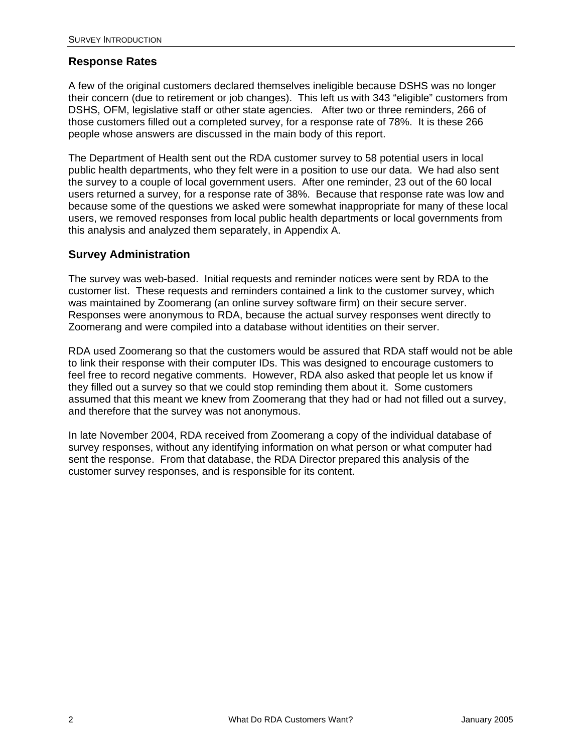### **Response Rates**

A few of the original customers declared themselves ineligible because DSHS was no longer their concern (due to retirement or job changes). This left us with 343 "eligible" customers from DSHS, OFM, legislative staff or other state agencies. After two or three reminders, 266 of those customers filled out a completed survey, for a response rate of 78%. It is these 266 people whose answers are discussed in the main body of this report.

The Department of Health sent out the RDA customer survey to 58 potential users in local public health departments, who they felt were in a position to use our data. We had also sent the survey to a couple of local government users. After one reminder, 23 out of the 60 local users returned a survey, for a response rate of 38%. Because that response rate was low and because some of the questions we asked were somewhat inappropriate for many of these local users, we removed responses from local public health departments or local governments from this analysis and analyzed them separately, in Appendix A.

#### **Survey Administration**

The survey was web-based. Initial requests and reminder notices were sent by RDA to the customer list. These requests and reminders contained a link to the customer survey, which was maintained by Zoomerang (an online survey software firm) on their secure server. Responses were anonymous to RDA, because the actual survey responses went directly to Zoomerang and were compiled into a database without identities on their server.

RDA used Zoomerang so that the customers would be assured that RDA staff would not be able to link their response with their computer IDs. This was designed to encourage customers to feel free to record negative comments. However, RDA also asked that people let us know if they filled out a survey so that we could stop reminding them about it. Some customers assumed that this meant we knew from Zoomerang that they had or had not filled out a survey, and therefore that the survey was not anonymous.

In late November 2004, RDA received from Zoomerang a copy of the individual database of survey responses, without any identifying information on what person or what computer had sent the response. From that database, the RDA Director prepared this analysis of the customer survey responses, and is responsible for its content.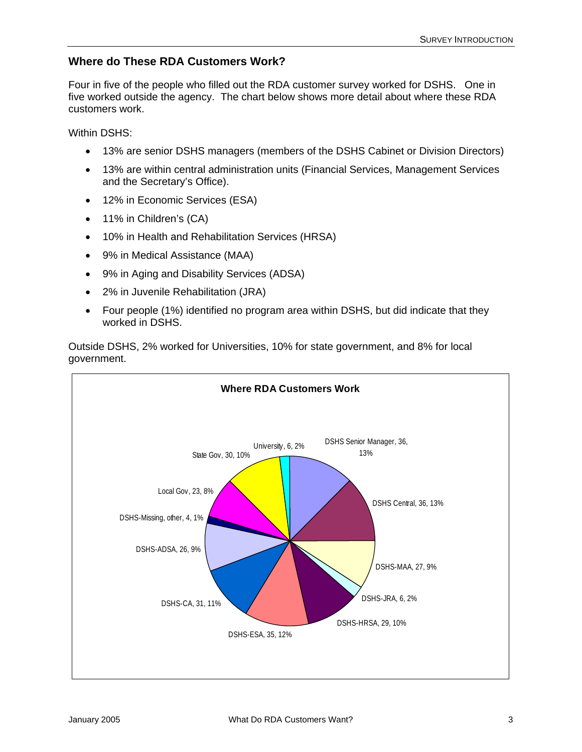### **Where do These RDA Customers Work?**

Four in five of the people who filled out the RDA customer survey worked for DSHS. One in five worked outside the agency. The chart below shows more detail about where these RDA customers work.

Within DSHS:

- 13% are senior DSHS managers (members of the DSHS Cabinet or Division Directors)
- 13% are within central administration units (Financial Services, Management Services and the Secretary's Office).
- 12% in Economic Services (ESA)
- 11% in Children's (CA)
- 10% in Health and Rehabilitation Services (HRSA)
- 9% in Medical Assistance (MAA)
- 9% in Aging and Disability Services (ADSA)
- 2% in Juvenile Rehabilitation (JRA)
- Four people (1%) identified no program area within DSHS, but did indicate that they worked in DSHS.

Outside DSHS, 2% worked for Universities, 10% for state government, and 8% for local government.

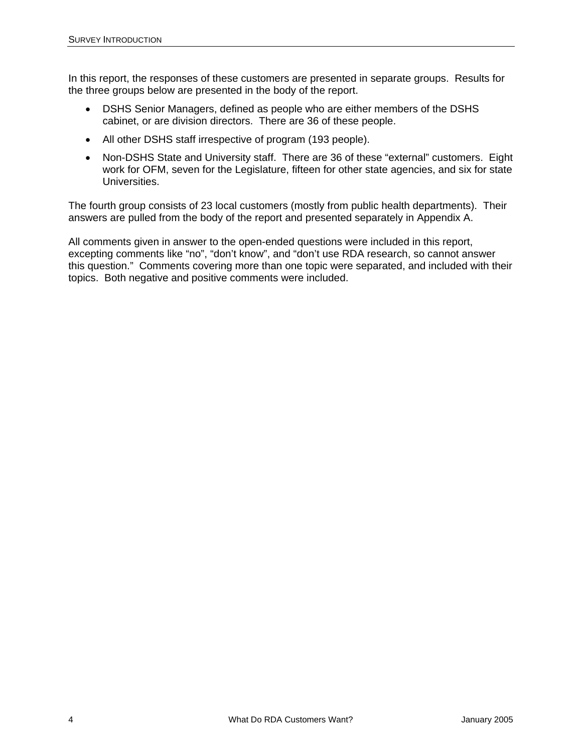In this report, the responses of these customers are presented in separate groups. Results for the three groups below are presented in the body of the report.

- DSHS Senior Managers, defined as people who are either members of the DSHS cabinet, or are division directors. There are 36 of these people.
- All other DSHS staff irrespective of program (193 people).
- Non-DSHS State and University staff. There are 36 of these "external" customers. Eight work for OFM, seven for the Legislature, fifteen for other state agencies, and six for state Universities.

The fourth group consists of 23 local customers (mostly from public health departments). Their answers are pulled from the body of the report and presented separately in Appendix A.

All comments given in answer to the open-ended questions were included in this report, excepting comments like "no", "don't know", and "don't use RDA research, so cannot answer this question." Comments covering more than one topic were separated, and included with their topics. Both negative and positive comments were included.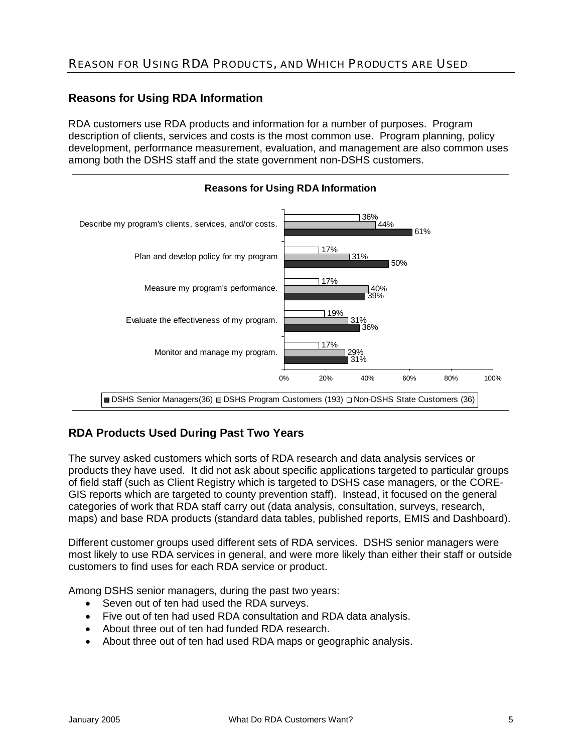### REASON FOR USING RDA PRODUCTS, AND WHICH PRODUCTS ARE USED

#### **Reasons for Using RDA Information**

RDA customers use RDA products and information for a number of purposes. Program description of clients, services and costs is the most common use. Program planning, policy development, performance measurement, evaluation, and management are also common uses among both the DSHS staff and the state government non-DSHS customers.



### **RDA Products Used During Past Two Years**

The survey asked customers which sorts of RDA research and data analysis services or products they have used. It did not ask about specific applications targeted to particular groups of field staff (such as Client Registry which is targeted to DSHS case managers, or the CORE-GIS reports which are targeted to county prevention staff). Instead, it focused on the general categories of work that RDA staff carry out (data analysis, consultation, surveys, research, maps) and base RDA products (standard data tables, published reports, EMIS and Dashboard).

Different customer groups used different sets of RDA services. DSHS senior managers were most likely to use RDA services in general, and were more likely than either their staff or outside customers to find uses for each RDA service or product.

Among DSHS senior managers, during the past two years:

- Seven out of ten had used the RDA surveys.
- Five out of ten had used RDA consultation and RDA data analysis.
- About three out of ten had funded RDA research.
- About three out of ten had used RDA maps or geographic analysis.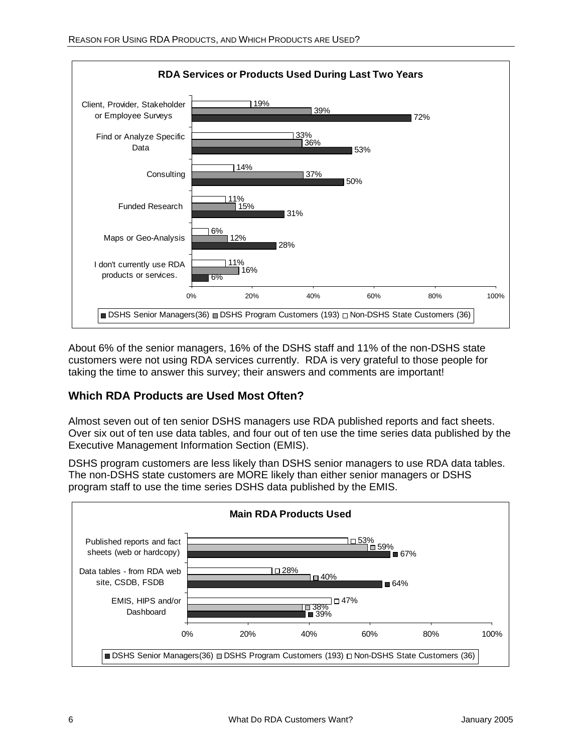

About 6% of the senior managers, 16% of the DSHS staff and 11% of the non-DSHS state customers were not using RDA services currently. RDA is very grateful to those people for taking the time to answer this survey; their answers and comments are important!

### **Which RDA Products are Used Most Often?**

Almost seven out of ten senior DSHS managers use RDA published reports and fact sheets. Over six out of ten use data tables, and four out of ten use the time series data published by the Executive Management Information Section (EMIS).

DSHS program customers are less likely than DSHS senior managers to use RDA data tables. The non-DSHS state customers are MORE likely than either senior managers or DSHS program staff to use the time series DSHS data published by the EMIS.

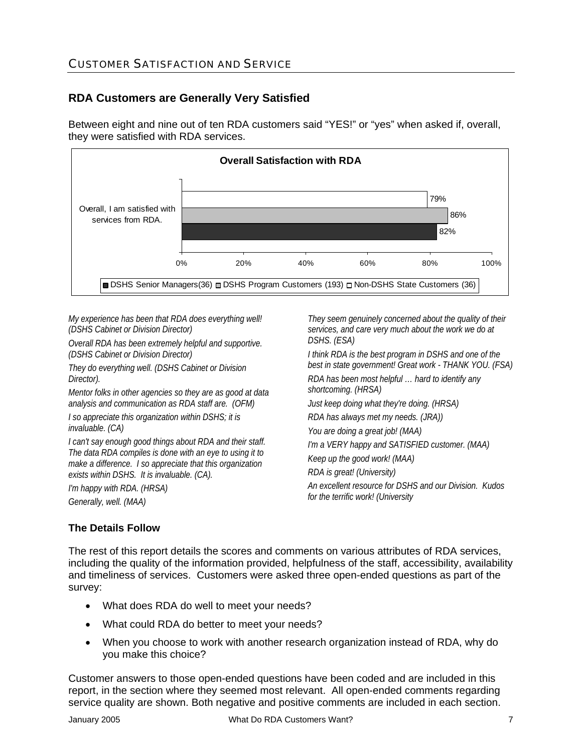### CUSTOMER SATISFACTION AND SERVICE

### **RDA Customers are Generally Very Satisfied**

Between eight and nine out of ten RDA customers said "YES!" or "yes" when asked if, overall, they were satisfied with RDA services.



*My experience has been that RDA does everything well! (DSHS Cabinet or Division Director)* 

*Overall RDA has been extremely helpful and supportive. (DSHS Cabinet or Division Director)* 

*They do everything well. (DSHS Cabinet or Division Director).* 

*Mentor folks in other agencies so they are as good at data analysis and communication as RDA staff are. (OFM)* 

*I so appreciate this organization within DSHS; it is invaluable. (CA)* 

*I can't say enough good things about RDA and their staff. The data RDA compiles is done with an eye to using it to make a difference. I so appreciate that this organization exists within DSHS. It is invaluable. (CA).* 

*I'm happy with RDA. (HRSA) Generally, well. (MAA)* 

*They seem genuinely concerned about the quality of their services, and care very much about the work we do at DSHS. (ESA)* 

*I think RDA is the best program in DSHS and one of the best in state government! Great work - THANK YOU. (FSA)* 

*RDA has been most helpful … hard to identify any shortcoming. (HRSA)* 

*Just keep doing what they're doing. (HRSA)* 

*RDA has always met my needs. (JRA))* 

*You are doing a great job! (MAA)* 

*I'm a VERY happy and SATISFIED customer. (MAA)* 

*Keep up the good work! (MAA)* 

*RDA is great! (University)* 

*An excellent resource for DSHS and our Division. Kudos for the terrific work! (University*

#### **The Details Follow**

The rest of this report details the scores and comments on various attributes of RDA services, including the quality of the information provided, helpfulness of the staff, accessibility, availability and timeliness of services. Customers were asked three open-ended questions as part of the survey:

- What does RDA do well to meet your needs?
- What could RDA do better to meet your needs?
- When you choose to work with another research organization instead of RDA, why do you make this choice?

Customer answers to those open-ended questions have been coded and are included in this report, in the section where they seemed most relevant. All open-ended comments regarding service quality are shown. Both negative and positive comments are included in each section.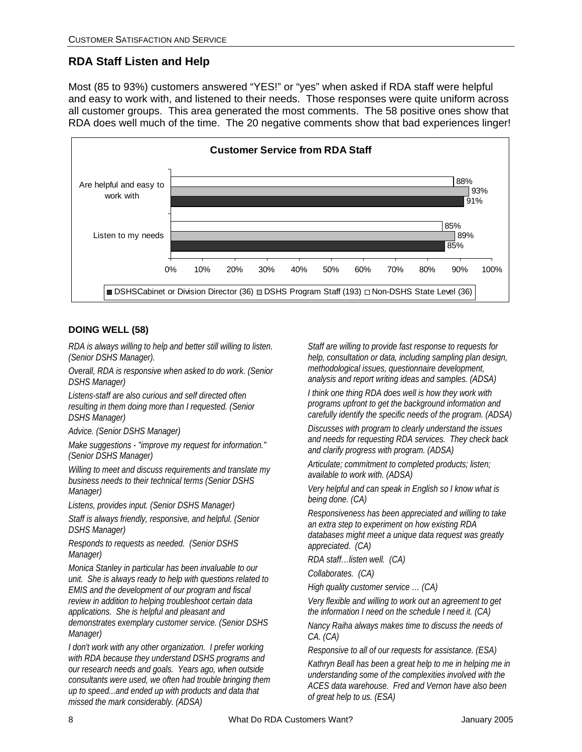### **RDA Staff Listen and Help**

Most (85 to 93%) customers answered "YES!" or "yes" when asked if RDA staff were helpful and easy to work with, and listened to their needs. Those responses were quite uniform across all customer groups. This area generated the most comments. The 58 positive ones show that RDA does well much of the time. The 20 negative comments show that bad experiences linger!



#### **DOING WELL (58)**

*RDA is always willing to help and better still willing to listen. (Senior DSHS Manager).* 

*Overall, RDA is responsive when asked to do work. (Senior DSHS Manager)* 

*Listens-staff are also curious and self directed often resulting in them doing more than I requested. (Senior DSHS Manager)* 

*Advice. (Senior DSHS Manager)* 

*Make suggestions - "improve my request for information." (Senior DSHS Manager)* 

*Willing to meet and discuss requirements and translate my business needs to their technical terms (Senior DSHS Manager)* 

*Listens, provides input. (Senior DSHS Manager)* 

*Staff is always friendly, responsive, and helpful. (Senior DSHS Manager)* 

*Responds to requests as needed. (Senior DSHS Manager)* 

*Monica Stanley in particular has been invaluable to our unit. She is always ready to help with questions related to EMIS and the development of our program and fiscal review in addition to helping troubleshoot certain data applications. She is helpful and pleasant and demonstrates exemplary customer service. (Senior DSHS Manager)* 

*I don't work with any other organization. I prefer working with RDA because they understand DSHS programs and our research needs and goals. Years ago, when outside consultants were used, we often had trouble bringing them up to speed...and ended up with products and data that missed the mark considerably. (ADSA)* 

*Staff are willing to provide fast response to requests for help, consultation or data, including sampling plan design, methodological issues, questionnaire development, analysis and report writing ideas and samples. (ADSA)* 

*I think one thing RDA does well is how they work with programs upfront to get the background information and carefully identify the specific needs of the program. (ADSA)* 

*Discusses with program to clearly understand the issues and needs for requesting RDA services. They check back and clarify progress with program. (ADSA)* 

*Articulate; commitment to completed products; listen; available to work with. (ADSA)* 

*Very helpful and can speak in English so I know what is being done. (CA)* 

*Responsiveness has been appreciated and willing to take an extra step to experiment on how existing RDA databases might meet a unique data request was greatly appreciated. (CA)* 

*RDA staff…listen well. (CA)* 

*Collaborates. (CA)* 

*High quality customer service … (CA)* 

*Very flexible and willing to work out an agreement to get the information I need on the schedule I need it. (CA)* 

*Nancy Raiha always makes time to discuss the needs of CA. (CA)* 

*Responsive to all of our requests for assistance. (ESA)* 

*Kathryn Beall has been a great help to me in helping me in understanding some of the complexities involved with the ACES data warehouse. Fred and Vernon have also been of great help to us. (ESA)*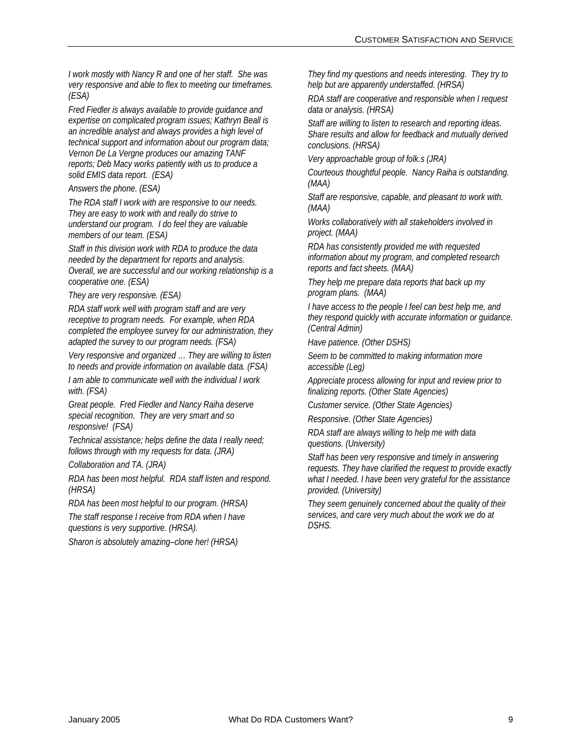*I work mostly with Nancy R and one of her staff. She was very responsive and able to flex to meeting our timeframes. (ESA)* 

*Fred Fiedler is always available to provide guidance and expertise on complicated program issues; Kathryn Beall is an incredible analyst and always provides a high level of technical support and information about our program data; Vernon De La Vergne produces our amazing TANF reports; Deb Macy works patiently with us to produce a solid EMIS data report. (ESA)* 

*Answers the phone. (ESA)* 

*The RDA staff I work with are responsive to our needs. They are easy to work with and really do strive to understand our program. I do feel they are valuable members of our team. (ESA)* 

*Staff in this division work with RDA to produce the data needed by the department for reports and analysis. Overall, we are successful and our working relationship is a cooperative one. (ESA)* 

*They are very responsive. (ESA)* 

*RDA staff work well with program staff and are very receptive to program needs. For example, when RDA completed the employee survey for our administration, they adapted the survey to our program needs. (FSA)* 

*Very responsive and organized … They are willing to listen to needs and provide information on available data. (FSA)* 

*I am able to communicate well with the individual I work with. (FSA)* 

*Great people. Fred Fiedler and Nancy Raiha deserve special recognition. They are very smart and so responsive! (FSA)* 

*Technical assistance; helps define the data I really need; follows through with my requests for data. (JRA)* 

*Collaboration and TA. (JRA)* 

*RDA has been most helpful. RDA staff listen and respond. (HRSA)* 

*RDA has been most helpful to our program. (HRSA)* 

*The staff response I receive from RDA when I have questions is very supportive. (HRSA).* 

*Sharon is absolutely amazing–clone her! (HRSA)* 

*They find my questions and needs interesting. They try to help but are apparently understaffed. (HRSA)* 

*RDA staff are cooperative and responsible when I request data or analysis. (HRSA)* 

*Staff are willing to listen to research and reporting ideas. Share results and allow for feedback and mutually derived conclusions. (HRSA)* 

*Very approachable group of folk.s (JRA)* 

*Courteous thoughtful people. Nancy Raiha is outstanding. (MAA)* 

*Staff are responsive, capable, and pleasant to work with. (MAA)* 

*Works collaboratively with all stakeholders involved in project. (MAA)* 

*RDA has consistently provided me with requested information about my program, and completed research reports and fact sheets. (MAA)* 

*They help me prepare data reports that back up my program plans. (MAA)* 

*I have access to the people I feel can best help me, and they respond quickly with accurate information or guidance. (Central Admin)* 

*Have patience. (Other DSHS)* 

*Seem to be committed to making information more accessible (Leg)* 

*Appreciate process allowing for input and review prior to finalizing reports. (Other State Agencies)* 

*Customer service. (Other State Agencies)* 

*Responsive. (Other State Agencies)* 

*RDA staff are always willing to help me with data questions. (University)* 

*Staff has been very responsive and timely in answering requests. They have clarified the request to provide exactly what I needed. I have been very grateful for the assistance provided. (University)* 

*They seem genuinely concerned about the quality of their services, and care very much about the work we do at DSHS.*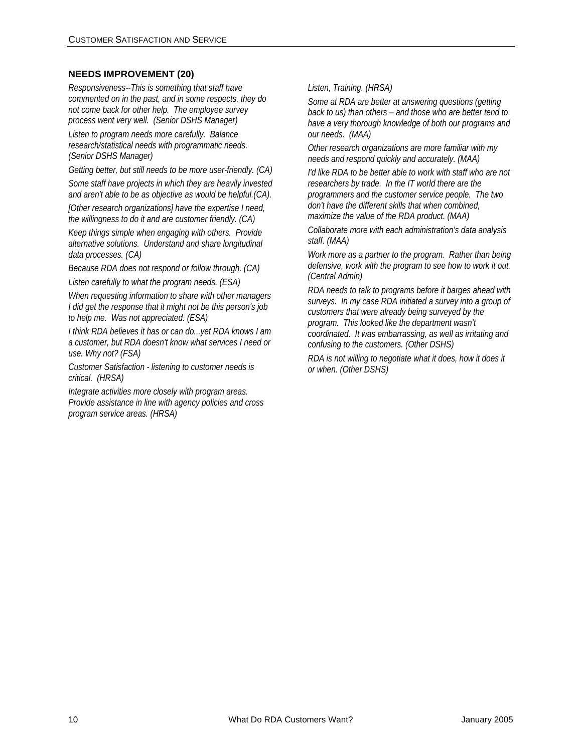#### **NEEDS IMPROVEMENT (20)**

*Responsiveness--This is something that staff have commented on in the past, and in some respects, they do not come back for other help. The employee survey process went very well. (Senior DSHS Manager)* 

*Listen to program needs more carefully. Balance research/statistical needs with programmatic needs. (Senior DSHS Manager)* 

*Getting better, but still needs to be more user-friendly. (CA) Some staff have projects in which they are heavily invested* 

*and aren't able to be as objective as would be helpful.(CA). [Other research organizations] have the expertise I need, the willingness to do it and are customer friendly. (CA)* 

*Keep things simple when engaging with others. Provide alternative solutions. Understand and share longitudinal data processes. (CA)* 

*Because RDA does not respond or follow through. (CA)* 

*Listen carefully to what the program needs. (ESA)* 

*When requesting information to share with other managers I did get the response that it might not be this person's job to help me. Was not appreciated. (ESA)* 

*I think RDA believes it has or can do...yet RDA knows I am a customer, but RDA doesn't know what services I need or use. Why not? (FSA)* 

*Customer Satisfaction - listening to customer needs is critical. (HRSA)* 

*Integrate activities more closely with program areas. Provide assistance in line with agency policies and cross program service areas. (HRSA)* 

#### *Listen, Training. (HRSA)*

*Some at RDA are better at answering questions (getting back to us) than others – and those who are better tend to have a very thorough knowledge of both our programs and our needs. (MAA)* 

*Other research organizations are more familiar with my needs and respond quickly and accurately. (MAA)* 

*I'd like RDA to be better able to work with staff who are not researchers by trade. In the IT world there are the programmers and the customer service people. The two don't have the different skills that when combined, maximize the value of the RDA product. (MAA)* 

*Collaborate more with each administration's data analysis staff. (MAA)* 

*Work more as a partner to the program. Rather than being defensive, work with the program to see how to work it out. (Central Admin)* 

*RDA needs to talk to programs before it barges ahead with surveys. In my case RDA initiated a survey into a group of customers that were already being surveyed by the program. This looked like the department wasn't coordinated. It was embarrassing, as well as irritating and confusing to the customers. (Other DSHS)* 

*RDA is not willing to negotiate what it does, how it does it or when. (Other DSHS)*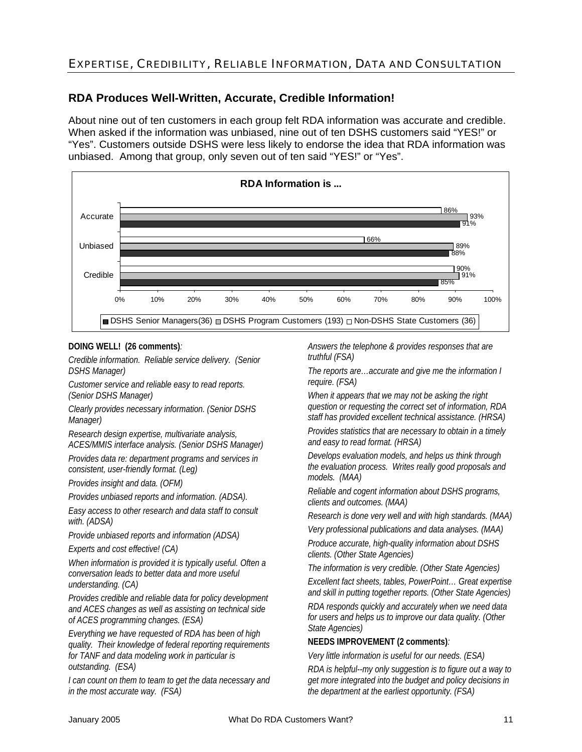### EXPERTISE, CREDIBILITY, RELIABLE INFORMATION, DATA AND CONSULTATION

### **RDA Produces Well-Written, Accurate, Credible Information!**

About nine out of ten customers in each group felt RDA information was accurate and credible. When asked if the information was unbiased, nine out of ten DSHS customers said "YES!" or "Yes". Customers outside DSHS were less likely to endorse the idea that RDA information was unbiased. Among that group, only seven out of ten said "YES!" or "Yes".



#### **DOING WELL! (26 comments)***:*

*Credible information. Reliable service delivery. (Senior DSHS Manager)* 

*Customer service and reliable easy to read reports. (Senior DSHS Manager)* 

*Clearly provides necessary information. (Senior DSHS Manager)* 

*Research design expertise, multivariate analysis, ACES/MMIS interface analysis. (Senior DSHS Manager)* 

*Provides data re: department programs and services in consistent, user-friendly format. (Leg)* 

*Provides insight and data. (OFM)* 

*Provides unbiased reports and information. (ADSA).* 

*Easy access to other research and data staff to consult with. (ADSA)* 

*Provide unbiased reports and information (ADSA)* 

*Experts and cost effective! (CA)* 

*When information is provided it is typically useful. Often a conversation leads to better data and more useful understanding. (CA)* 

*Provides credible and reliable data for policy development and ACES changes as well as assisting on technical side of ACES programming changes. (ESA)* 

*Everything we have requested of RDA has been of high quality. Their knowledge of federal reporting requirements for TANF and data modeling work in particular is outstanding. (ESA)* 

*I can count on them to team to get the data necessary and in the most accurate way. (FSA)* 

*Answers the telephone & provides responses that are truthful (FSA)* 

*The reports are…accurate and give me the information I require. (FSA)* 

*When it appears that we may not be asking the right question or requesting the correct set of information, RDA staff has provided excellent technical assistance. (HRSA)* 

*Provides statistics that are necessary to obtain in a timely and easy to read format. (HRSA)* 

*Develops evaluation models, and helps us think through the evaluation process. Writes really good proposals and models. (MAA)* 

*Reliable and cogent information about DSHS programs, clients and outcomes. (MAA)* 

*Research is done very well and with high standards. (MAA)* 

*Very professional publications and data analyses. (MAA)* 

*Produce accurate, high-quality information about DSHS clients. (Other State Agencies)* 

*The information is very credible. (Other State Agencies)* 

*Excellent fact sheets, tables, PowerPoint… Great expertise and skill in putting together reports. (Other State Agencies)* 

*RDA responds quickly and accurately when we need data for users and helps us to improve our data quality. (Other State Agencies)* 

#### **NEEDS IMPROVEMENT (2 comments)***:*

*Very little information is useful for our needs. (ESA)* 

*RDA is helpful--my only suggestion is to figure out a way to get more integrated into the budget and policy decisions in the department at the earliest opportunity. (FSA)*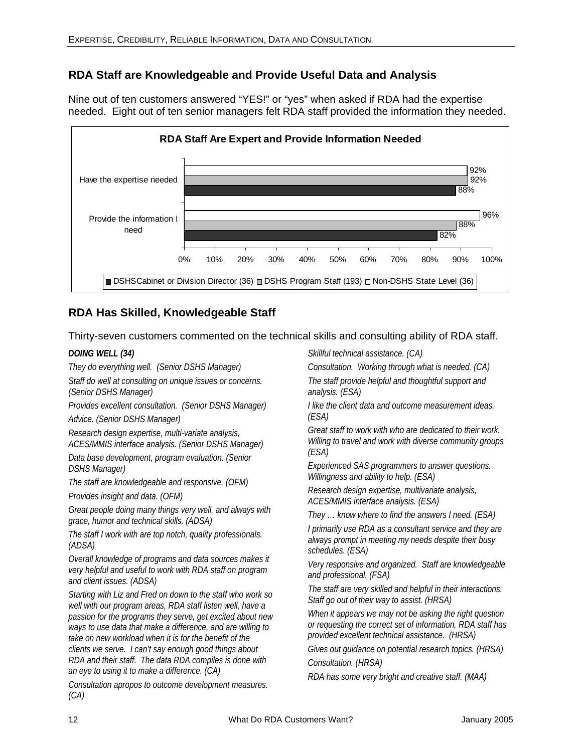### **RDA Staff are Knowledgeable and Provide Useful Data and Analysis**

Nine out of ten customers answered "YES!" or "yes" when asked if RDA had the expertise needed. Eight out of ten senior managers felt RDA staff provided the information they needed.



### **RDA Has Skilled, Knowledgeable Staff**

Thirty-seven customers commented on the technical skills and consulting ability of RDA staff.

#### *DOING WELL (34)*

*They do everything well. (Senior DSHS Manager)* 

*Staff do well at consulting on unique issues or concerns. (Senior DSHS Manager)* 

*Provides excellent consultation. (Senior DSHS Manager) Advice. (Senior DSHS Manager)* 

*Research design expertise, multi-variate analysis, ACES/MMIS interface analysis. (Senior DSHS Manager)* 

*Data base development, program evaluation. (Senior DSHS Manager)* 

*The staff are knowledgeable and responsive. (OFM) Provides insight and data. (OFM)* 

*Great people doing many things very well, and always with grace, humor and technical skills. (ADSA)* 

*The staff I work with are top notch, quality professionals. (ADSA)* 

*Overall knowledge of programs and data sources makes it very helpful and useful to work with RDA staff on program and client issues. (ADSA)* 

*Starting with Liz and Fred on down to the staff who work so well with our program areas, RDA staff listen well, have a passion for the programs they serve, get excited about new ways to use data that make a difference, and are willing to take on new workload when it is for the benefit of the clients we serve. I can't say enough good things about RDA and their staff. The data RDA compiles is done with an eye to using it to make a difference. (CA)* 

*Consultation apropos to outcome development measures. (CA)* 

*Skillful technical assistance. (CA)* 

*Consultation. Working through what is needed. (CA)* 

*The staff provide helpful and thoughtful support and analysis. (ESA)* 

*I like the client data and outcome measurement ideas. (ESA)* 

*Great staff to work with who are dedicated to their work. Willing to travel and work with diverse community groups (ESA)* 

*Experienced SAS programmers to answer questions. Willingness and ability to help. (ESA)* 

*Research design expertise, multivariate analysis, ACES/MMIS interface analysis. (ESA)* 

*They … know where to find the answers I need. (ESA)* 

*I primarily use RDA as a consultant service and they are always prompt in meeting my needs despite their busy schedules. (ESA)* 

*Very responsive and organized. Staff are knowledgeable and professional. (FSA)* 

*The staff are very skilled and helpful in their interactions. Staff go out of their way to assist. (HRSA)* 

*When it appears we may not be asking the right question or requesting the correct set of information, RDA staff has provided excellent technical assistance. (HRSA)* 

*Gives out guidance on potential research topics. (HRSA) Consultation. (HRSA)* 

*RDA has some very bright and creative staff. (MAA)*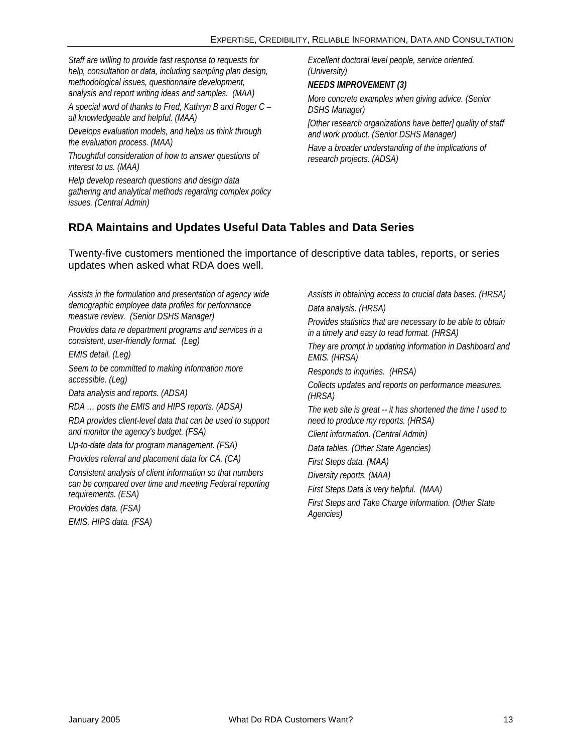*Staff are willing to provide fast response to requests for help, consultation or data, including sampling plan design, methodological issues, questionnaire development, analysis and report writing ideas and samples. (MAA)* 

*A special word of thanks to Fred, Kathryn B and Roger C – all knowledgeable and helpful. (MAA)* 

*Develops evaluation models, and helps us think through the evaluation process. (MAA)* 

*Thoughtful consideration of how to answer questions of interest to us. (MAA)* 

*Help develop research questions and design data gathering and analytical methods regarding complex policy issues. (Central Admin)* 

*Excellent doctoral level people, service oriented. (University)* 

#### *NEEDS IMPROVEMENT (3)*

*More concrete examples when giving advice. (Senior DSHS Manager)* 

*[Other research organizations have better] quality of staff and work product. (Senior DSHS Manager)* 

*Have a broader understanding of the implications of research projects. (ADSA)* 

### **RDA Maintains and Updates Useful Data Tables and Data Series**

Twenty-five customers mentioned the importance of descriptive data tables, reports, or series updates when asked what RDA does well.

*Assists in the formulation and presentation of agency wide demographic employee data profiles for performance measure review. (Senior DSHS Manager)* 

*Provides data re department programs and services in a consistent, user-friendly format. (Leg)* 

*EMIS detail. (Leg)* 

*Seem to be committed to making information more accessible. (Leg)* 

*Data analysis and reports. (ADSA)* 

*RDA … posts the EMIS and HIPS reports. (ADSA)* 

*RDA provides client-level data that can be used to support and monitor the agency's budget. (FSA)* 

*Up-to-date data for program management. (FSA)* 

*Provides referral and placement data for CA. (CA)* 

*Consistent analysis of client information so that numbers can be compared over time and meeting Federal reporting requirements. (ESA)* 

*Provides data. (FSA)* 

*EMIS, HIPS data. (FSA)* 

*Assists in obtaining access to crucial data bases. (HRSA) Data analysis. (HRSA) Provides statistics that are necessary to be able to obtain in a timely and easy to read format. (HRSA) They are prompt in updating information in Dashboard and EMIS. (HRSA) Responds to inquiries. (HRSA) Collects updates and reports on performance measures. (HRSA) The web site is great -- it has shortened the time I used to need to produce my reports. (HRSA) Client information. (Central Admin) Data tables. (Other State Agencies) First Steps data. (MAA) Diversity reports. (MAA) First Steps Data is very helpful. (MAA) First Steps and Take Charge information. (Other State Agencies)*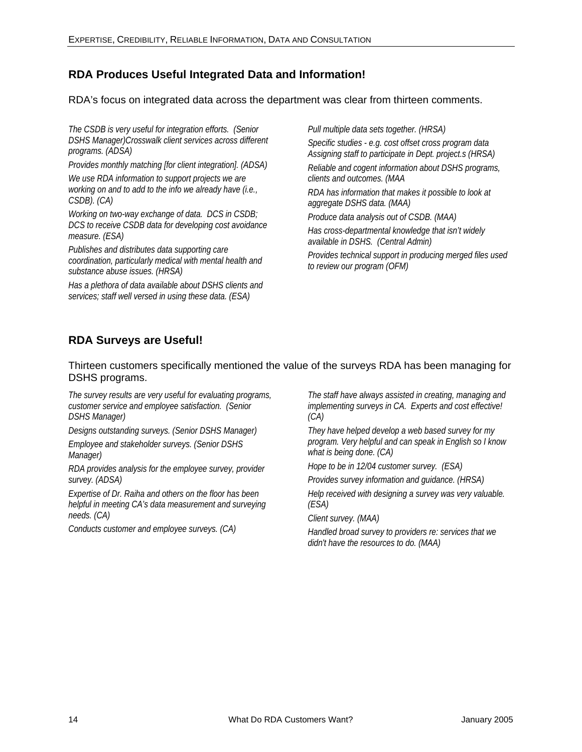### **RDA Produces Useful Integrated Data and Information!**

RDA's focus on integrated data across the department was clear from thirteen comments.

*The CSDB is very useful for integration efforts. (Senior DSHS Manager)Crosswalk client services across different programs. (ADSA)* 

*Provides monthly matching [for client integration]. (ADSA) We use RDA information to support projects we are working on and to add to the info we already have (i.e., CSDB). (CA)* 

*Working on two-way exchange of data. DCS in CSDB; DCS to receive CSDB data for developing cost avoidance measure. (ESA)* 

*Publishes and distributes data supporting care coordination, particularly medical with mental health and substance abuse issues. (HRSA)* 

*Has a plethora of data available about DSHS clients and services; staff well versed in using these data. (ESA)* 

*Pull multiple data sets together. (HRSA)* 

*Specific studies - e.g. cost offset cross program data Assigning staff to participate in Dept. project.s (HRSA) Reliable and cogent information about DSHS programs, clients and outcomes. (MAA* 

*RDA has information that makes it possible to look at aggregate DSHS data. (MAA)* 

*Produce data analysis out of CSDB. (MAA)* 

*Has cross-departmental knowledge that isn't widely available in DSHS. (Central Admin)* 

*Provides technical support in producing merged files used to review our program (OFM)* 

### **RDA Surveys are Useful!**

Thirteen customers specifically mentioned the value of the surveys RDA has been managing for DSHS programs.

*The survey results are very useful for evaluating programs, customer service and employee satisfaction. (Senior DSHS Manager)* 

*Designs outstanding surveys. (Senior DSHS Manager)* 

*Employee and stakeholder surveys. (Senior DSHS Manager)* 

*RDA provides analysis for the employee survey, provider survey. (ADSA)* 

*Expertise of Dr. Raiha and others on the floor has been helpful in meeting CA's data measurement and surveying needs. (CA)* 

*Conducts customer and employee surveys. (CA)* 

*The staff have always assisted in creating, managing and implementing surveys in CA. Experts and cost effective! (CA)* 

*They have helped develop a web based survey for my program. Very helpful and can speak in English so I know what is being done. (CA)* 

*Hope to be in 12/04 customer survey. (ESA)* 

*Provides survey information and guidance. (HRSA)* 

*Help received with designing a survey was very valuable. (ESA)* 

*Client survey. (MAA)* 

*Handled broad survey to providers re: services that we didn't have the resources to do. (MAA)*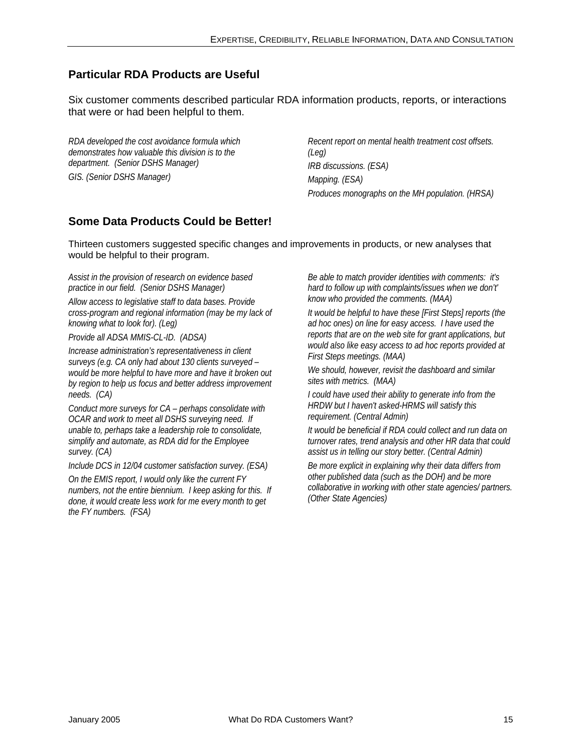### **Particular RDA Products are Useful**

Six customer comments described particular RDA information products, reports, or interactions that were or had been helpful to them.

*RDA developed the cost avoidance formula which demonstrates how valuable this division is to the department. (Senior DSHS Manager) GIS. (Senior DSHS Manager)* 

*Recent report on mental health treatment cost offsets. (Leg) IRB discussions. (ESA) Mapping. (ESA) Produces monographs on the MH population. (HRSA)* 

### **Some Data Products Could be Better!**

Thirteen customers suggested specific changes and improvements in products, or new analyses that would be helpful to their program.

*Assist in the provision of research on evidence based practice in our field. (Senior DSHS Manager)* 

*Allow access to legislative staff to data bases. Provide cross-program and regional information (may be my lack of knowing what to look for). (Leg)* 

*Provide all ADSA MMIS-CL-ID. (ADSA)* 

*Increase administration's representativeness in client surveys (e.g. CA only had about 130 clients surveyed – would be more helpful to have more and have it broken out by region to help us focus and better address improvement needs. (CA)* 

*Conduct more surveys for CA – perhaps consolidate with OCAR and work to meet all DSHS surveying need. If unable to, perhaps take a leadership role to consolidate, simplify and automate, as RDA did for the Employee survey. (CA)* 

*Include DCS in 12/04 customer satisfaction survey. (ESA)* 

*On the EMIS report, I would only like the current FY numbers, not the entire biennium. I keep asking for this. If done, it would create less work for me every month to get the FY numbers. (FSA)* 

*Be able to match provider identities with comments: it's hard to follow up with complaints/issues when we don't' know who provided the comments. (MAA)* 

*It would be helpful to have these [First Steps] reports (the ad hoc ones) on line for easy access. I have used the reports that are on the web site for grant applications, but would also like easy access to ad hoc reports provided at First Steps meetings. (MAA)* 

*We should, however, revisit the dashboard and similar sites with metrics. (MAA)* 

*I could have used their ability to generate info from the HRDW but I haven't asked-HRMS will satisfy this requirement. (Central Admin)* 

*It would be beneficial if RDA could collect and run data on turnover rates, trend analysis and other HR data that could assist us in telling our story better. (Central Admin)* 

*Be more explicit in explaining why their data differs from other published data (such as the DOH) and be more collaborative in working with other state agencies/ partners. (Other State Agencies)*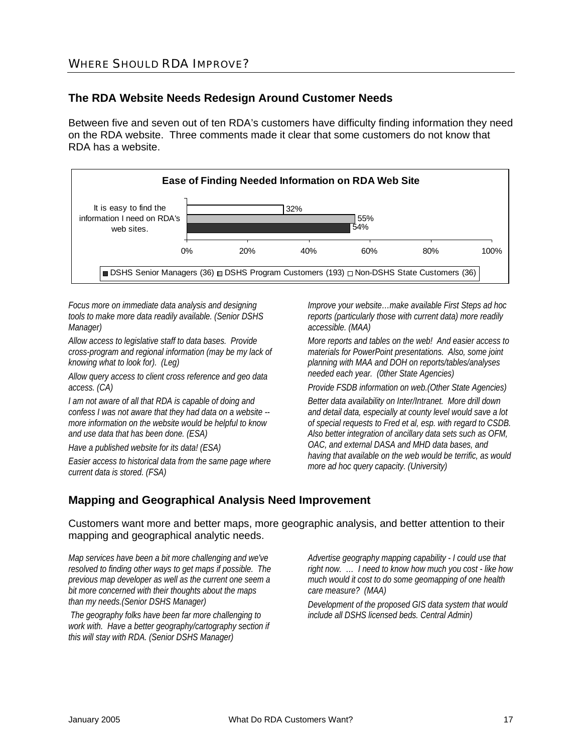### **The RDA Website Needs Redesign Around Customer Needs**

Between five and seven out of ten RDA's customers have difficulty finding information they need on the RDA website. Three comments made it clear that some customers do not know that RDA has a website.



*Focus more on immediate data analysis and designing tools to make more data readily available. (Senior DSHS Manager)* 

*Allow access to legislative staff to data bases. Provide cross-program and regional information (may be my lack of knowing what to look for). (Leg)* 

*Allow query access to client cross reference and geo data access. (CA)* 

*I am not aware of all that RDA is capable of doing and confess I was not aware that they had data on a website - more information on the website would be helpful to know and use data that has been done. (ESA)* 

*Have a published website for its data! (ESA)* 

*Easier access to historical data from the same page where current data is stored. (FSA)* 

*Improve your website…make available First Steps ad hoc reports (particularly those with current data) more readily accessible. (MAA)* 

*More reports and tables on the web! And easier access to materials for PowerPoint presentations. Also, some joint planning with MAA and DOH on reports/tables/analyses needed each year. (0ther State Agencies)* 

*Provide FSDB information on web.(Other State Agencies)* 

*Better data availability on Inter/Intranet. More drill down and detail data, especially at county level would save a lot of special requests to Fred et al, esp. with regard to CSDB. Also better integration of ancillary data sets such as OFM, OAC, and external DASA and MHD data bases, and having that available on the web would be terrific, as would more ad hoc query capacity. (University)* 

### **Mapping and Geographical Analysis Need Improvement**

Customers want more and better maps, more geographic analysis, and better attention to their mapping and geographical analytic needs.

*Map services have been a bit more challenging and we've resolved to finding other ways to get maps if possible. The previous map developer as well as the current one seem a bit more concerned with their thoughts about the maps than my needs.(Senior DSHS Manager)* 

 *The geography folks have been far more challenging to work with. Have a better geography/cartography section if this will stay with RDA. (Senior DSHS Manager)* 

*Advertise geography mapping capability - I could use that right now. … I need to know how much you cost - like how much would it cost to do some geomapping of one health care measure? (MAA)* 

*Development of the proposed GIS data system that would include all DSHS licensed beds. Central Admin)*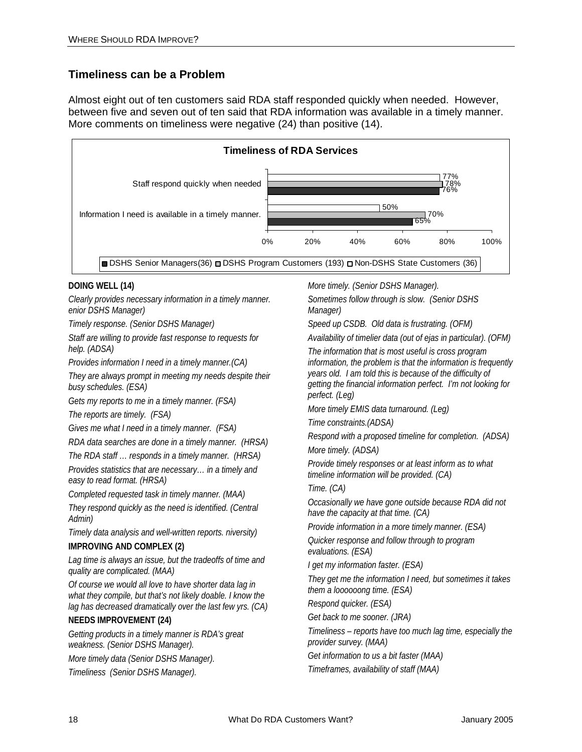### **Timeliness can be a Problem**

Almost eight out of ten customers said RDA staff responded quickly when needed. However, between five and seven out of ten said that RDA information was available in a timely manner. More comments on timeliness were negative (24) than positive (14).



#### **DOING WELL (14)**

*Clearly provides necessary information in a timely manner. enior DSHS Manager)* 

*Timely response. (Senior DSHS Manager)* 

*Staff are willing to provide fast response to requests for help. (ADSA)* 

*Provides information I need in a timely manner.(CA)* 

*They are always prompt in meeting my needs despite their busy schedules. (ESA)* 

*Gets my reports to me in a timely manner. (FSA)* 

*The reports are timely. (FSA)* 

*Gives me what I need in a timely manner. (FSA)* 

*RDA data searches are done in a timely manner. (HRSA)* 

*The RDA staff … responds in a timely manner. (HRSA)* 

*Provides statistics that are necessary… in a timely and easy to read format. (HRSA)* 

*Completed requested task in timely manner. (MAA)* 

*They respond quickly as the need is identified. (Central Admin)* 

*Timely data analysis and well-written reports. niversity)* 

#### **IMPROVING AND COMPLEX (2)**

*Lag time is always an issue, but the tradeoffs of time and quality are complicated. (MAA)* 

*Of course we would all love to have shorter data lag in what they compile, but that's not likely doable. I know the lag has decreased dramatically over the last few yrs. (CA)* 

#### **NEEDS IMPROVEMENT (24)**

*Getting products in a timely manner is RDA's great weakness. (Senior DSHS Manager).* 

*More timely data (Senior DSHS Manager).* 

*Timeliness (Senior DSHS Manager).* 

*More timely. (Senior DSHS Manager).* 

*Sometimes follow through is slow. (Senior DSHS Manager)* 

*Speed up CSDB. Old data is frustrating. (OFM)* 

*Availability of timelier data (out of ejas in particular). (OFM)* 

*The information that is most useful is cross program information, the problem is that the information is frequently years old. I am told this is because of the difficulty of getting the financial information perfect. I'm not looking for perfect. (Leg)* 

*More timely EMIS data turnaround. (Leg)* 

*Time constraints.(ADSA)* 

*Respond with a proposed timeline for completion. (ADSA) More timely. (ADSA)* 

*Provide timely responses or at least inform as to what timeline information will be provided. (CA)* 

#### *Time. (CA)*

*Occasionally we have gone outside because RDA did not have the capacity at that time. (CA)* 

*Provide information in a more timely manner. (ESA)* 

*Quicker response and follow through to program evaluations. (ESA)* 

*I get my information faster. (ESA)* 

*They get me the information I need, but sometimes it takes them a loooooong time. (ESA)* 

*Respond quicker. (ESA)* 

*Get back to me sooner. (JRA)* 

*Timeliness – reports have too much lag time, especially the provider survey. (MAA)* 

*Get information to us a bit faster (MAA)* 

*Timeframes, availability of staff (MAA)*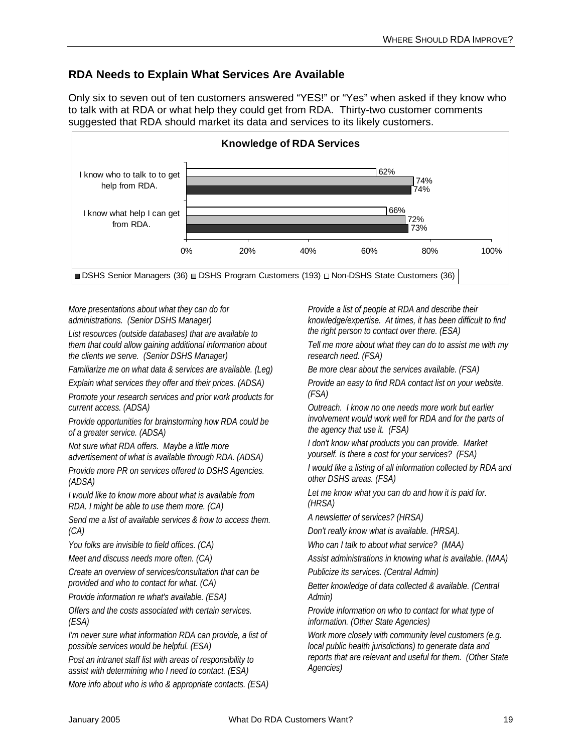### **RDA Needs to Explain What Services Are Available**

Only six to seven out of ten customers answered "YES!" or "Yes" when asked if they know who to talk with at RDA or what help they could get from RDA. Thirty-two customer comments suggested that RDA should market its data and services to its likely customers.



*More presentations about what they can do for administrations. (Senior DSHS Manager)* 

*List resources (outside databases) that are available to them that could allow gaining additional information about the clients we serve. (Senior DSHS Manager)* 

*Familiarize me on what data & services are available. (Leg)* 

*Explain what services they offer and their prices. (ADSA)* 

*Promote your research services and prior work products for current access. (ADSA)* 

*Provide opportunities for brainstorming how RDA could be of a greater service. (ADSA)* 

*Not sure what RDA offers. Maybe a little more advertisement of what is available through RDA. (ADSA)* 

*Provide more PR on services offered to DSHS Agencies. (ADSA)* 

*I would like to know more about what is available from RDA. I might be able to use them more. (CA)* 

*Send me a list of available services & how to access them. (CA)* 

*You folks are invisible to field offices. (CA)* 

*Meet and discuss needs more often. (CA)* 

*Create an overview of services/consultation that can be provided and who to contact for what. (CA)* 

*Provide information re what's available. (ESA)* 

*Offers and the costs associated with certain services. (ESA)* 

*I'm never sure what information RDA can provide, a list of possible services would be helpful. (ESA)* 

*Post an intranet staff list with areas of responsibility to assist with determining who I need to contact. (ESA) More info about who is who & appropriate contacts. (ESA)*  *Provide a list of people at RDA and describe their knowledge/expertise. At times, it has been difficult to find the right person to contact over there. (ESA)* 

*Tell me more about what they can do to assist me with my research need. (FSA)* 

*Be more clear about the services available. (FSA)* 

*Provide an easy to find RDA contact list on your website. (FSA)* 

*Outreach. I know no one needs more work but earlier involvement would work well for RDA and for the parts of the agency that use it. (FSA)* 

*I don't know what products you can provide. Market yourself. Is there a cost for your services? (FSA)* 

*I would like a listing of all information collected by RDA and other DSHS areas. (FSA)* 

*Let me know what you can do and how it is paid for. (HRSA)* 

*A newsletter of services? (HRSA)* 

*Don't really know what is available. (HRSA).* 

*Who can I talk to about what service? (MAA)* 

*Assist administrations in knowing what is available. (MAA)* 

*Publicize its services. (Central Admin)* 

*Better knowledge of data collected & available. (Central Admin)* 

*Provide information on who to contact for what type of information. (Other State Agencies)* 

*Work more closely with community level customers (e.g. local public health jurisdictions) to generate data and reports that are relevant and useful for them. (Other State Agencies)*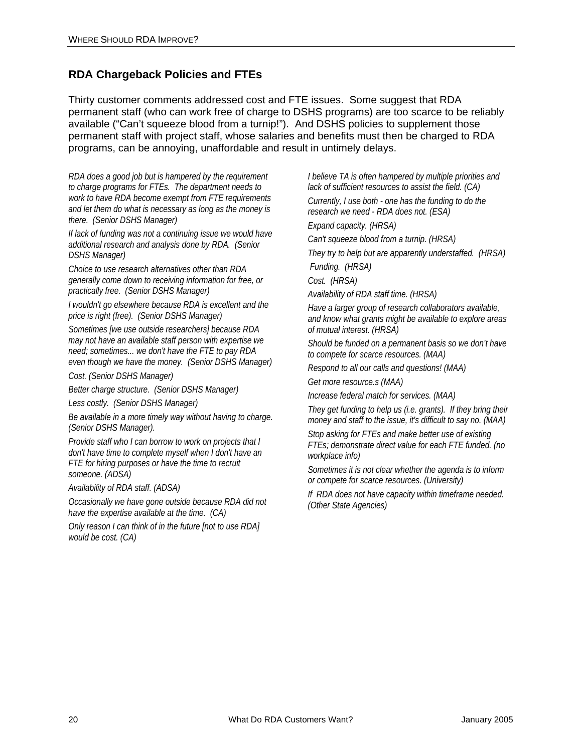### **RDA Chargeback Policies and FTEs**

Thirty customer comments addressed cost and FTE issues. Some suggest that RDA permanent staff (who can work free of charge to DSHS programs) are too scarce to be reliably available ("Can't squeeze blood from a turnip!"). And DSHS policies to supplement those permanent staff with project staff, whose salaries and benefits must then be charged to RDA programs, can be annoying, unaffordable and result in untimely delays.

*RDA does a good job but is hampered by the requirement to charge programs for FTEs. The department needs to work to have RDA become exempt from FTE requirements and let them do what is necessary as long as the money is there. (Senior DSHS Manager)* 

*If lack of funding was not a continuing issue we would have additional research and analysis done by RDA. (Senior DSHS Manager)* 

*Choice to use research alternatives other than RDA generally come down to receiving information for free, or practically free. (Senior DSHS Manager)* 

*I wouldn't go elsewhere because RDA is excellent and the price is right (free). (Senior DSHS Manager)* 

*Sometimes [we use outside researchers] because RDA may not have an available staff person with expertise we need; sometimes... we don't have the FTE to pay RDA even though we have the money. (Senior DSHS Manager)* 

*Cost. (Senior DSHS Manager)* 

*Better charge structure. (Senior DSHS Manager)* 

*Less costly. (Senior DSHS Manager)* 

*Be available in a more timely way without having to charge. (Senior DSHS Manager).* 

*Provide staff who I can borrow to work on projects that I don't have time to complete myself when I don't have an FTE for hiring purposes or have the time to recruit someone. (ADSA)* 

*Availability of RDA staff. (ADSA)* 

*Occasionally we have gone outside because RDA did not have the expertise available at the time. (CA)* 

*Only reason I can think of in the future [not to use RDA] would be cost. (CA)* 

*I believe TA is often hampered by multiple priorities and lack of sufficient resources to assist the field. (CA)* 

*Currently, I use both - one has the funding to do the research we need - RDA does not. (ESA)* 

*Expand capacity. (HRSA)* 

*Can't squeeze blood from a turnip. (HRSA)* 

*They try to help but are apparently understaffed. (HRSA) Funding. (HRSA)* 

*Cost. (HRSA)* 

*Availability of RDA staff time. (HRSA)* 

*Have a larger group of research collaborators available, and know what grants might be available to explore areas of mutual interest. (HRSA)* 

*Should be funded on a permanent basis so we don't have to compete for scarce resources. (MAA)* 

*Respond to all our calls and questions! (MAA)* 

*Get more resource.s (MAA)* 

*Increase federal match for services. (MAA)* 

*They get funding to help us (i.e. grants). If they bring their money and staff to the issue, it's difficult to say no. (MAA)* 

*Stop asking for FTEs and make better use of existing FTEs; demonstrate direct value for each FTE funded. (no workplace info)* 

*Sometimes it is not clear whether the agenda is to inform or compete for scarce resources. (University)* 

*If RDA does not have capacity within timeframe needed. (Other State Agencies)*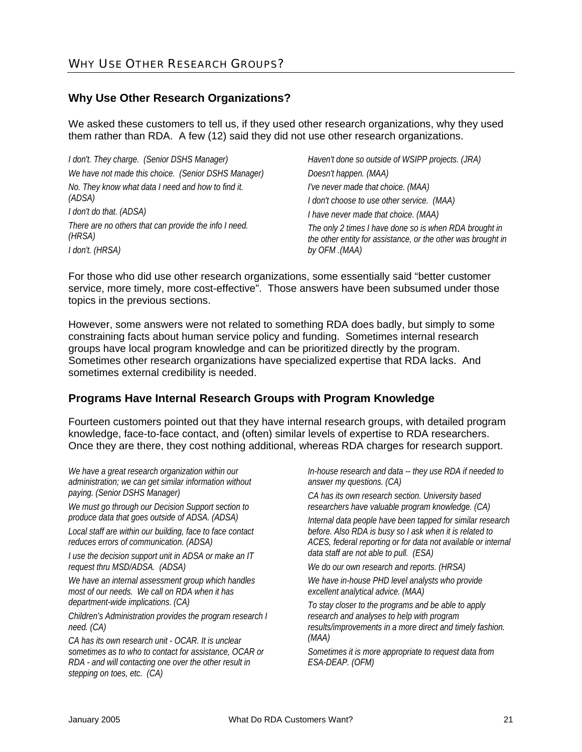#### **Why Use Other Research Organizations?**

We asked these customers to tell us, if they used other research organizations, why they used them rather than RDA. A few (12) said they did not use other research organizations.

| I don't. They charge. (Senior DSHS Manager)                     | Haven't done so outside of WSIPP projects. (JRA)                                                                                        |
|-----------------------------------------------------------------|-----------------------------------------------------------------------------------------------------------------------------------------|
| We have not made this choice. (Senior DSHS Manager)             | Doesn't happen. (MAA)                                                                                                                   |
| No. They know what data I need and how to find it.              | I've never made that choice. (MAA)                                                                                                      |
| (ADSA)                                                          | I don't choose to use other service. (MAA)                                                                                              |
| I don't do that. (ADSA)                                         | I have never made that choice. (MAA)                                                                                                    |
| There are no others that can provide the info I need.<br>(HRSA) | The only 2 times I have done so is when RDA brought in<br>the other entity for assistance, or the other was brought in<br>by OFM .(MAA) |
| I don't. (HRSA)                                                 |                                                                                                                                         |

For those who did use other research organizations, some essentially said "better customer service, more timely, more cost-effective". Those answers have been subsumed under those topics in the previous sections.

However, some answers were not related to something RDA does badly, but simply to some constraining facts about human service policy and funding. Sometimes internal research groups have local program knowledge and can be prioritized directly by the program. Sometimes other research organizations have specialized expertise that RDA lacks. And sometimes external credibility is needed.

### **Programs Have Internal Research Groups with Program Knowledge**

Fourteen customers pointed out that they have internal research groups, with detailed program knowledge, face-to-face contact, and (often) similar levels of expertise to RDA researchers. Once they are there, they cost nothing additional, whereas RDA charges for research support.

*We have a great research organization within our administration; we can get similar information without paying. (Senior DSHS Manager)* 

*We must go through our Decision Support section to produce data that goes outside of ADSA. (ADSA)* 

*Local staff are within our building, face to face contact reduces errors of communication. (ADSA)* 

*I use the decision support unit in ADSA or make an IT request thru MSD/ADSA. (ADSA)* 

*We have an internal assessment group which handles most of our needs. We call on RDA when it has department-wide implications. (CA)* 

*Children's Administration provides the program research I need. (CA)* 

*CA has its own research unit - OCAR. It is unclear sometimes as to who to contact for assistance, OCAR or RDA - and will contacting one over the other result in stepping on toes, etc. (CA)* 

*In-house research and data -- they use RDA if needed to answer my questions. (CA)* 

*CA has its own research section. University based researchers have valuable program knowledge. (CA)* 

*Internal data people have been tapped for similar research before. Also RDA is busy so I ask when it is related to ACES, federal reporting or for data not available or internal data staff are not able to pull. (ESA)* 

*We do our own research and reports. (HRSA)* 

*We have in-house PHD level analysts who provide excellent analytical advice. (MAA)* 

*To stay closer to the programs and be able to apply research and analyses to help with program results/improvements in a more direct and timely fashion. (MAA)* 

*Sometimes it is more appropriate to request data from ESA-DEAP. (OFM)*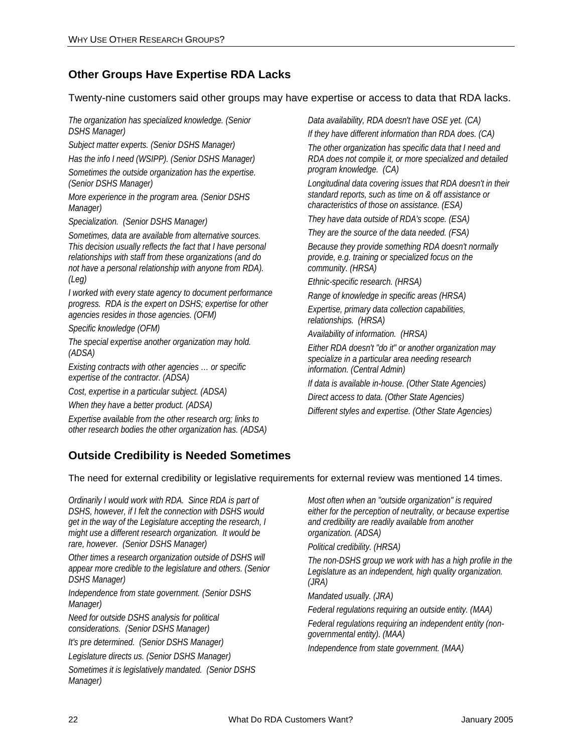### **Other Groups Have Expertise RDA Lacks**

Twenty-nine customers said other groups may have expertise or access to data that RDA lacks.

*The organization has specialized knowledge. (Senior DSHS Manager)* 

*Subject matter experts. (Senior DSHS Manager)* 

*Has the info I need (WSIPP). (Senior DSHS Manager) Sometimes the outside organization has the expertise. (Senior DSHS Manager)* 

*More experience in the program area. (Senior DSHS Manager)* 

*Specialization. (Senior DSHS Manager)* 

*Sometimes, data are available from alternative sources. This decision usually reflects the fact that I have personal relationships with staff from these organizations (and do not have a personal relationship with anyone from RDA). (Leg)* 

*I worked with every state agency to document performance progress. RDA is the expert on DSHS; expertise for other agencies resides in those agencies. (OFM)* 

*Specific knowledge (OFM)* 

*The special expertise another organization may hold. (ADSA)* 

*Existing contracts with other agencies … or specific expertise of the contractor. (ADSA)* 

*Cost, expertise in a particular subject. (ADSA)* 

*When they have a better product. (ADSA)* 

*Expertise available from the other research org; links to other research bodies the other organization has. (ADSA)*  *Data availability, RDA doesn't have OSE yet. (CA)* 

*If they have different information than RDA does. (CA)* 

*The other organization has specific data that I need and RDA does not compile it, or more specialized and detailed program knowledge. (CA)* 

*Longitudinal data covering issues that RDA doesn't in their standard reports, such as time on & off assistance or characteristics of those on assistance. (ESA)* 

*They have data outside of RDA's scope. (ESA)* 

*They are the source of the data needed. (FSA) Because they provide something RDA doesn't normally* 

*provide, e.g. training or specialized focus on the community. (HRSA)* 

*Ethnic-specific research. (HRSA)* 

*Range of knowledge in specific areas (HRSA)* 

*Expertise, primary data collection capabilities, relationships. (HRSA)* 

*Availability of information. (HRSA)* 

*Either RDA doesn't "do it" or another organization may specialize in a particular area needing research information. (Central Admin)* 

*If data is available in-house. (Other State Agencies) Direct access to data. (Other State Agencies)* 

*Different styles and expertise. (Other State Agencies)* 

### **Outside Credibility is Needed Sometimes**

The need for external credibility or legislative requirements for external review was mentioned 14 times.

*Ordinarily I would work with RDA. Since RDA is part of DSHS, however, if I felt the connection with DSHS would get in the way of the Legislature accepting the research, I might use a different research organization. It would be rare, however. (Senior DSHS Manager)* 

*Other times a research organization outside of DSHS will appear more credible to the legislature and others. (Senior DSHS Manager)* 

*Independence from state government. (Senior DSHS Manager)* 

*Need for outside DSHS analysis for political considerations. (Senior DSHS Manager)* 

*It's pre determined. (Senior DSHS Manager)* 

*Legislature directs us. (Senior DSHS Manager)* 

*Sometimes it is legislatively mandated. (Senior DSHS Manager)* 

*Most often when an "outside organization" is required either for the perception of neutrality, or because expertise and credibility are readily available from another organization. (ADSA)* 

*Political credibility. (HRSA)* 

*The non-DSHS group we work with has a high profile in the Legislature as an independent, high quality organization. (JRA)* 

*Mandated usually. (JRA)* 

*Federal regulations requiring an outside entity. (MAA)* 

*Federal regulations requiring an independent entity (nongovernmental entity). (MAA)* 

*Independence from state government. (MAA)*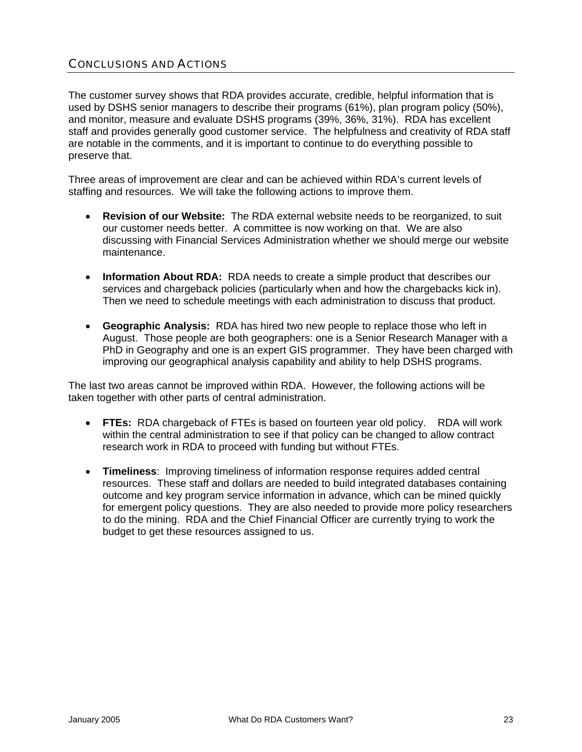### CONCLUSIONS AND ACTIONS

The customer survey shows that RDA provides accurate, credible, helpful information that is used by DSHS senior managers to describe their programs (61%), plan program policy (50%), and monitor, measure and evaluate DSHS programs (39%, 36%, 31%). RDA has excellent staff and provides generally good customer service. The helpfulness and creativity of RDA staff are notable in the comments, and it is important to continue to do everything possible to preserve that.

Three areas of improvement are clear and can be achieved within RDA's current levels of staffing and resources. We will take the following actions to improve them.

- **Revision of our Website:** The RDA external website needs to be reorganized, to suit our customer needs better. A committee is now working on that. We are also discussing with Financial Services Administration whether we should merge our website maintenance.
- **Information About RDA:** RDA needs to create a simple product that describes our services and chargeback policies (particularly when and how the chargebacks kick in). Then we need to schedule meetings with each administration to discuss that product.
- **Geographic Analysis:** RDA has hired two new people to replace those who left in August. Those people are both geographers: one is a Senior Research Manager with a PhD in Geography and one is an expert GIS programmer. They have been charged with improving our geographical analysis capability and ability to help DSHS programs.

The last two areas cannot be improved within RDA. However, the following actions will be taken together with other parts of central administration.

- **FTEs:** RDA chargeback of FTEs is based on fourteen year old policy. RDA will work within the central administration to see if that policy can be changed to allow contract research work in RDA to proceed with funding but without FTEs.
- **Timeliness**: Improving timeliness of information response requires added central resources. These staff and dollars are needed to build integrated databases containing outcome and key program service information in advance, which can be mined quickly for emergent policy questions. They are also needed to provide more policy researchers to do the mining. RDA and the Chief Financial Officer are currently trying to work the budget to get these resources assigned to us.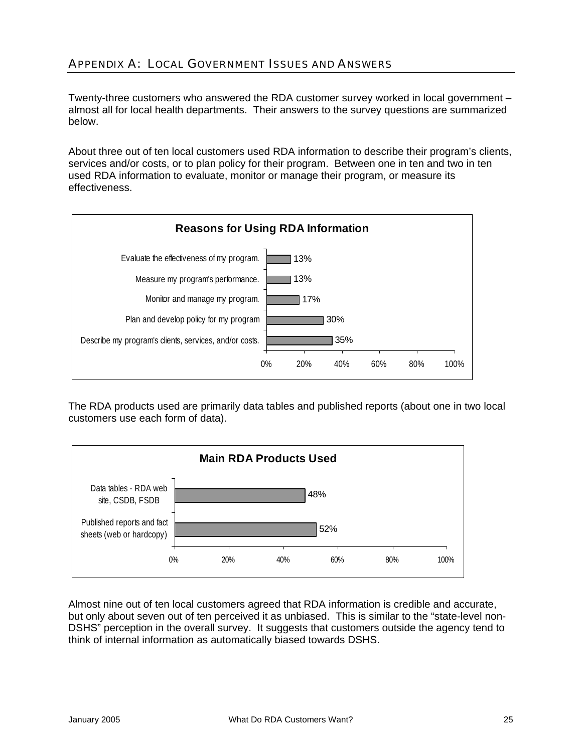### APPENDIX A: LOCAL GOVERNMENT ISSUES AND ANSWERS

Twenty-three customers who answered the RDA customer survey worked in local government – almost all for local health departments. Their answers to the survey questions are summarized below.

About three out of ten local customers used RDA information to describe their program's clients, services and/or costs, or to plan policy for their program. Between one in ten and two in ten used RDA information to evaluate, monitor or manage their program, or measure its effectiveness.



The RDA products used are primarily data tables and published reports (about one in two local customers use each form of data).



Almost nine out of ten local customers agreed that RDA information is credible and accurate, but only about seven out of ten perceived it as unbiased. This is similar to the "state-level non-DSHS" perception in the overall survey. It suggests that customers outside the agency tend to think of internal information as automatically biased towards DSHS.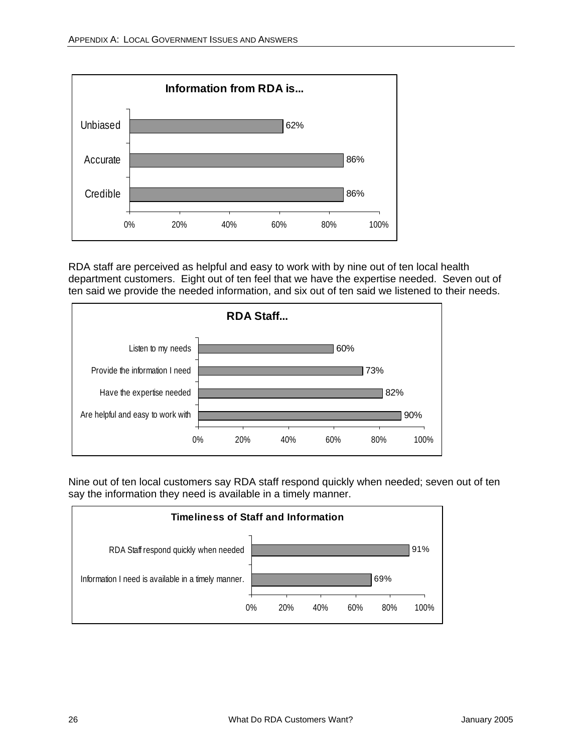

RDA staff are perceived as helpful and easy to work with by nine out of ten local health department customers. Eight out of ten feel that we have the expertise needed. Seven out of ten said we provide the needed information, and six out of ten said we listened to their needs.



Nine out of ten local customers say RDA staff respond quickly when needed; seven out of ten say the information they need is available in a timely manner.

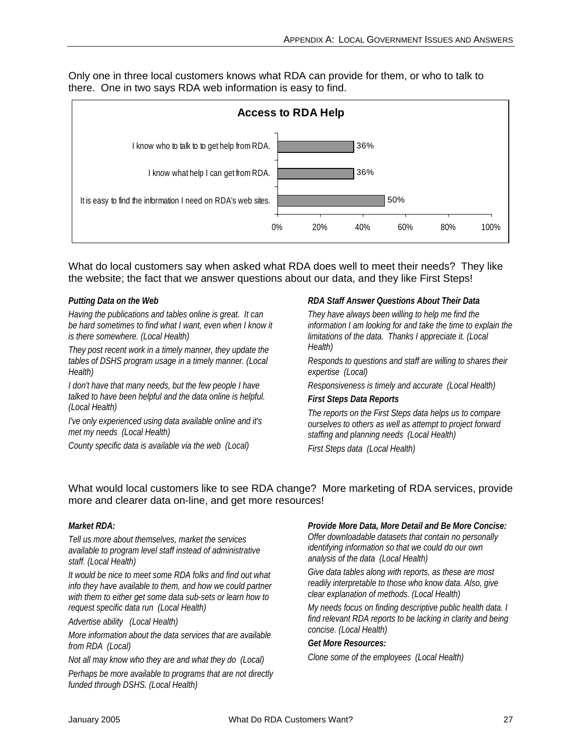Only one in three local customers knows what RDA can provide for them, or who to talk to there. One in two says RDA web information is easy to find.



What do local customers say when asked what RDA does well to meet their needs? They like the website; the fact that we answer questions about our data, and they like First Steps!

#### *Putting Data on the Web*

*Having the publications and tables online is great. It can be hard sometimes to find what I want, even when I know it is there somewhere. (Local Health)*

*They post recent work in a timely manner, they update the tables of DSHS program usage in a timely manner. (Local Health)* 

*I don't have that many needs, but the few people I have talked to have been helpful and the data online is helpful. (Local Health)* 

*I've only experienced using data available online and it's met my needs (Local Health)* 

*County specific data is available via the web (Local)* 

#### *RDA Staff Answer Questions About Their Data*

*They have always been willing to help me find the information I am looking for and take the time to explain the limitations of the data. Thanks I appreciate it. (Local Health)* 

*Responds to questions and staff are willing to shares their expertise (Local)* 

*Responsiveness is timely and accurate (Local Health)* 

#### *First Steps Data Reports*

*The reports on the First Steps data helps us to compare ourselves to others as well as attempt to project forward staffing and planning needs (Local Health)*

*First Steps data (Local Health)* 

#### What would local customers like to see RDA change? More marketing of RDA services, provide more and clearer data on-line, and get more resources!

#### *Market RDA:*

*Tell us more about themselves, market the services available to program level staff instead of administrative staff. (Local Health)* 

*It would be nice to meet some RDA folks and find out what info they have available to them, and how we could partner with them to either get some data sub-sets or learn how to request specific data run (Local Health)* 

*Advertise ability (Local Health)* 

*More information about the data services that are available from RDA (Local)* 

*Not all may know who they are and what they do (Local)* 

*Perhaps be more available to programs that are not directly funded through DSHS. (Local Health)* 

#### *Provide More Data, More Detail and Be More Concise:*

*Offer downloadable datasets that contain no personally identifying information so that we could do our own analysis of the data (Local Health)* 

*Give data tables along with reports, as these are most readily interpretable to those who know data. Also, give clear explanation of methods. (Local Health)* 

*My needs focus on finding descriptive public health data. I find relevant RDA reports to be lacking in clarity and being concise. (Local Health)* 

#### *Get More Resources:*

*Clone some of the employees (Local Health)*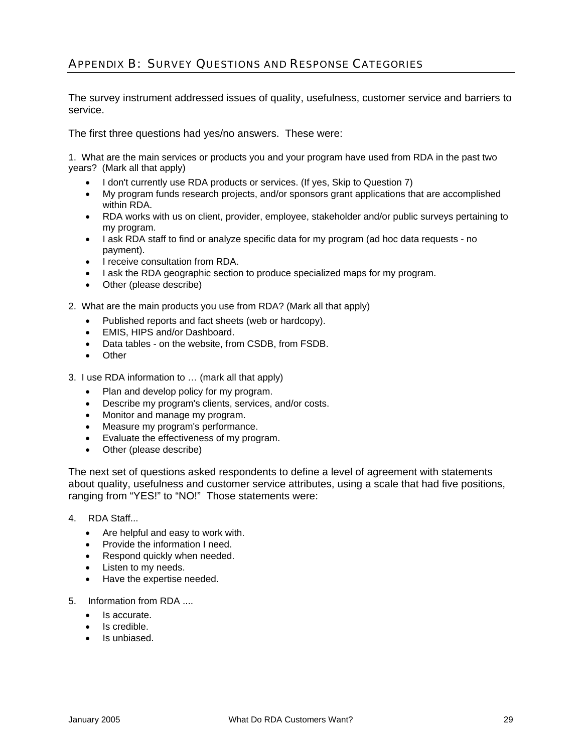### APPENDIX B: SURVEY QUESTIONS AND RESPONSE CATEGORIES

The survey instrument addressed issues of quality, usefulness, customer service and barriers to service.

The first three questions had yes/no answers. These were:

1. What are the main services or products you and your program have used from RDA in the past two years? (Mark all that apply)

- I don't currently use RDA products or services. (If yes, Skip to Question 7)
- My program funds research projects, and/or sponsors grant applications that are accomplished within RDA.
- RDA works with us on client, provider, employee, stakeholder and/or public surveys pertaining to my program.
- I ask RDA staff to find or analyze specific data for my program (ad hoc data requests no payment).
- I receive consultation from RDA.
- I ask the RDA geographic section to produce specialized maps for my program.
- Other (please describe)
- 2. What are the main products you use from RDA? (Mark all that apply)
	- Published reports and fact sheets (web or hardcopy).
	- EMIS, HIPS and/or Dashboard.
	- Data tables on the website, from CSDB, from FSDB.
	- Other
- 3. I use RDA information to … (mark all that apply)
	- Plan and develop policy for my program.
	- Describe my program's clients, services, and/or costs.
	- Monitor and manage my program.
	- Measure my program's performance.
	- Evaluate the effectiveness of my program.
	- Other (please describe)

The next set of questions asked respondents to define a level of agreement with statements about quality, usefulness and customer service attributes, using a scale that had five positions, ranging from "YES!" to "NO!" Those statements were:

- 4. RDA Staff...
	- Are helpful and easy to work with.
	- Provide the information I need.
	- Respond quickly when needed.
	- Listen to my needs.
	- Have the expertise needed.
- 5. Information from RDA ....
	- Is accurate.
	- Is credible.
	- Is unbiased.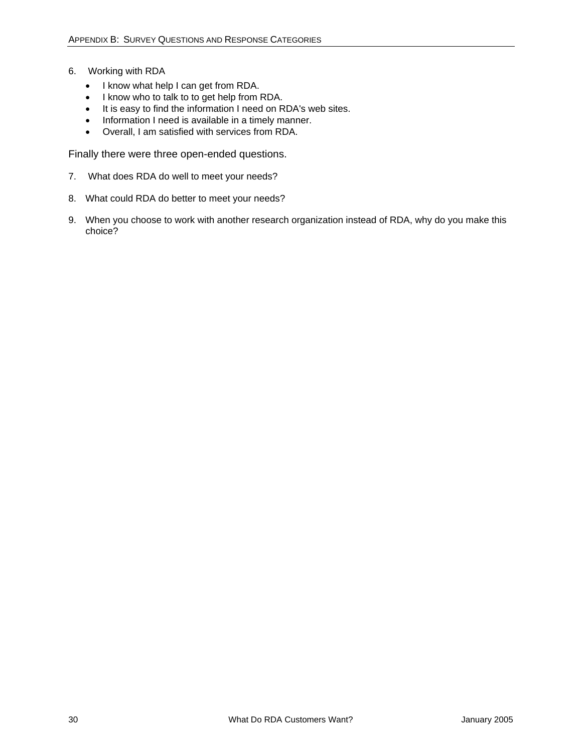- 6. Working with RDA
	- I know what help I can get from RDA.
	- I know who to talk to to get help from RDA.
	- It is easy to find the information I need on RDA's web sites.
	- Information I need is available in a timely manner.
	- Overall, I am satisfied with services from RDA.

Finally there were three open-ended questions.

- 7. What does RDA do well to meet your needs?
- 8. What could RDA do better to meet your needs?
- 9. When you choose to work with another research organization instead of RDA, why do you make this choice?